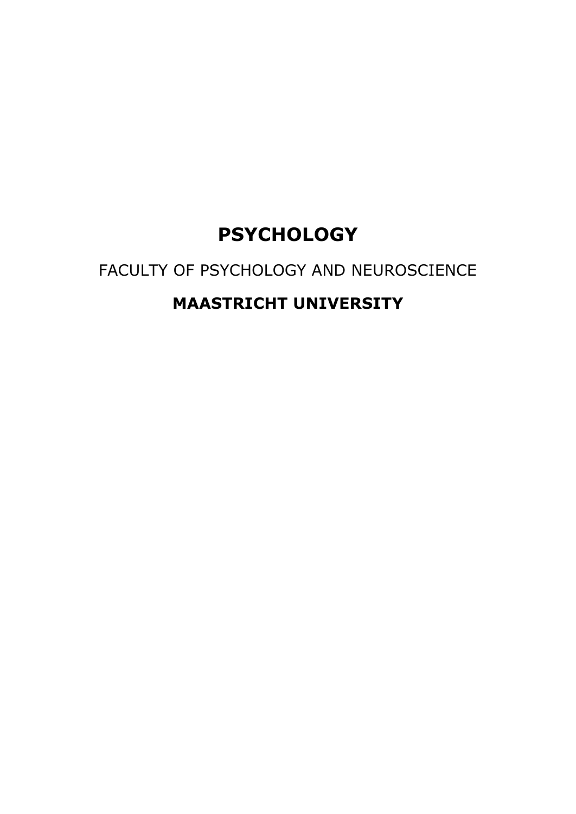# **PSYCHOLOGY**

# FACULTY OF PSYCHOLOGY AND NEUROSCIENCE

# **MAASTRICHT UNIVERSITY**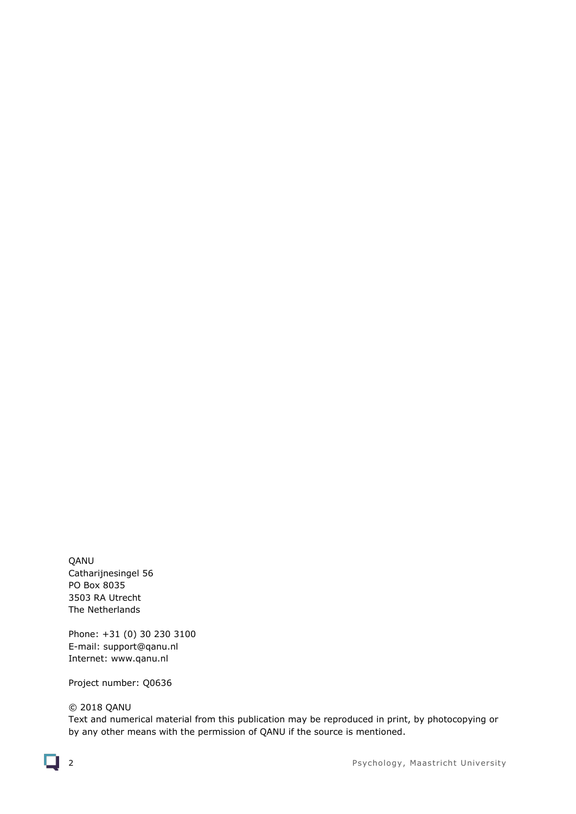QANU Catharijnesingel 56 PO Box 8035 3503 RA Utrecht The Netherlands

Phone: +31 (0) 30 230 3100 E-mail: support@qanu.nl Internet: www.qanu.nl

Project number: Q0636

#### © 2018 QANU

Text and numerical material from this publication may be reproduced in print, by photocopying or by any other means with the permission of QANU if the source is mentioned.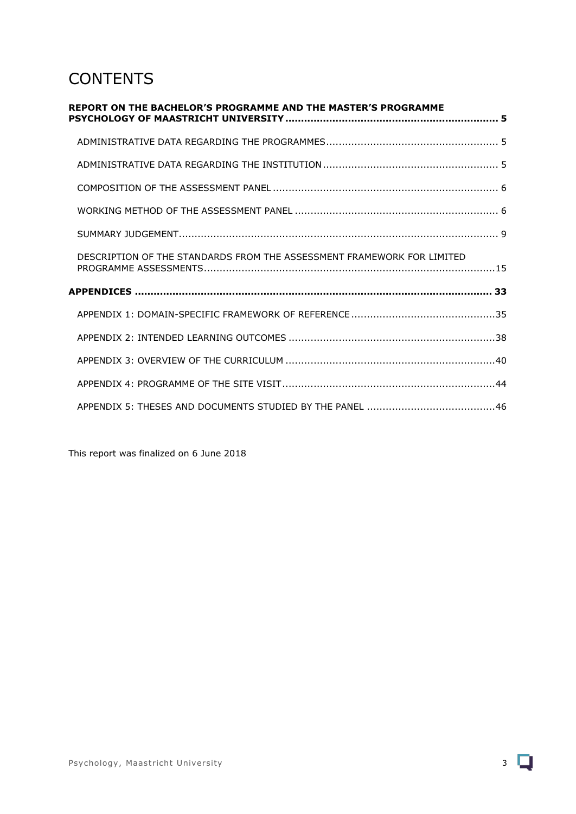# **CONTENTS**

| <b>REPORT ON THE BACHELOR'S PROGRAMME AND THE MASTER'S PROGRAMME</b>   |
|------------------------------------------------------------------------|
|                                                                        |
|                                                                        |
|                                                                        |
|                                                                        |
|                                                                        |
| DESCRIPTION OF THE STANDARDS FROM THE ASSESSMENT FRAMEWORK FOR LIMITED |
|                                                                        |
|                                                                        |
|                                                                        |
|                                                                        |
|                                                                        |
|                                                                        |

This report was finalized on 6 June 2018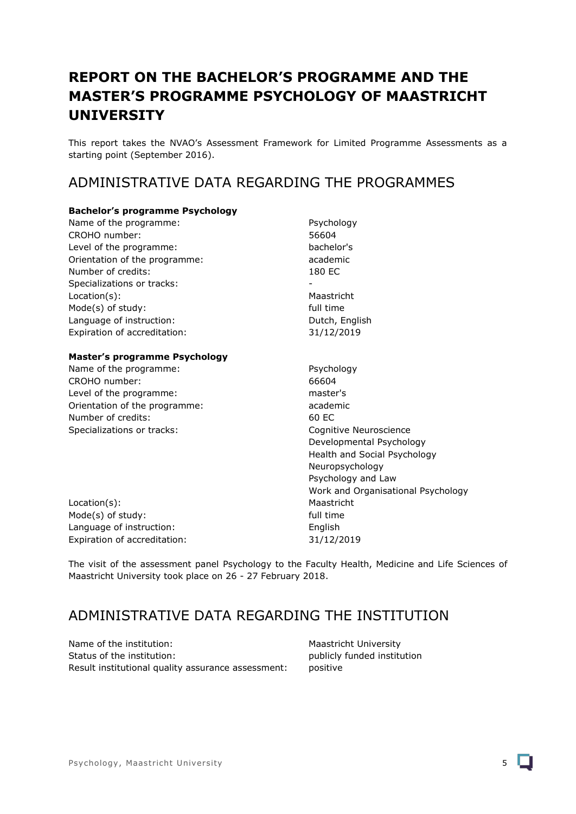# <span id="page-4-0"></span>**REPORT ON THE BACHELOR'S PROGRAMME AND THE MASTER'S PROGRAMME PSYCHOLOGY OF MAASTRICHT UNIVERSITY**

This report takes the NVAO's Assessment Framework for Limited Programme Assessments as a starting point (September 2016).

## <span id="page-4-1"></span>ADMINISTRATIVE DATA REGARDING THE PROGRAMMES

### **Bachelor's programme Psychology**

Name of the programme: Psychology CROHO number: 56604 Level of the programme: bachelor's Orientation of the programme: academic Number of credits: 180 EC Specializations or tracks: Location(s): Maastricht Mode(s) of study: The study: the study of study: Language of instruction: Communication and Dutch, English Expiration of accreditation: 31/12/2019

#### **Master's programme Psychology**

Name of the programme: Psychology CROHO number: 66604 Level of the programme: example and the master's master's Orientation of the programme: academic Number of credits: 60 EC Specializations or tracks: Cognitive Neuroscience

Location(s): Maastricht Mode(s) of study: The study: the study of study: Language of instruction: English Expiration of accreditation: 31/12/2019

Developmental Psychology Health and Social Psychology Neuropsychology Psychology and Law Work and Organisational Psychology

The visit of the assessment panel Psychology to the Faculty Health, Medicine and Life Sciences of Maastricht University took place on 26 - 27 February 2018.

# <span id="page-4-2"></span>ADMINISTRATIVE DATA REGARDING THE INSTITUTION

Name of the institution: Maastricht University Status of the institution: example in the institution: the institution: the publicly funded institution Result institutional quality assurance assessment: positive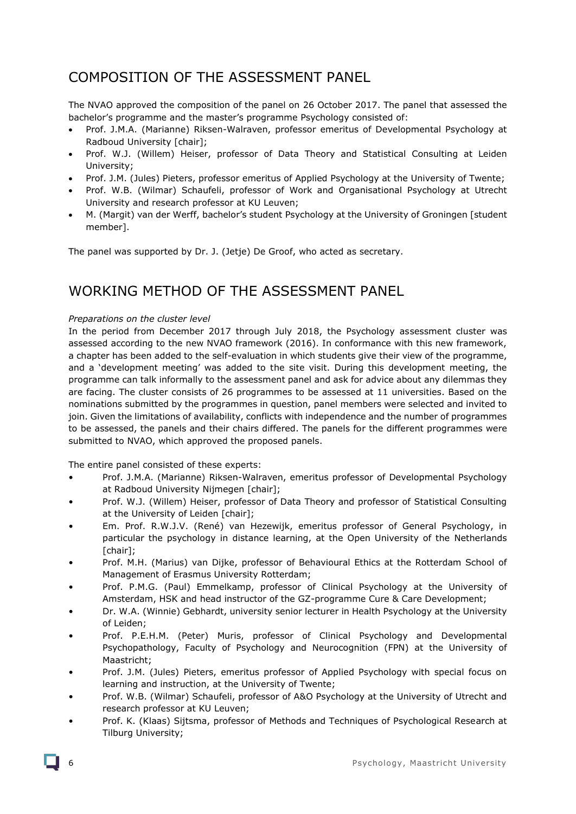# <span id="page-5-0"></span>COMPOSITION OF THE ASSESSMENT PANEL

The NVAO approved the composition of the panel on 26 October 2017. The panel that assessed the bachelor's programme and the master's programme Psychology consisted of:

- Prof. J.M.A. (Marianne) Riksen-Walraven, professor emeritus of Developmental Psychology at Radboud University [chair];
- Prof. W.J. (Willem) Heiser, professor of Data Theory and Statistical Consulting at Leiden University;
- Prof. J.M. (Jules) Pieters, professor emeritus of Applied Psychology at the University of Twente;
- Prof. W.B. (Wilmar) Schaufeli, professor of Work and Organisational Psychology at Utrecht University and research professor at KU Leuven;
- M. (Margit) van der Werff, bachelor's student Psychology at the University of Groningen [student member].

The panel was supported by Dr. J. (Jetje) De Groof, who acted as secretary.

# <span id="page-5-1"></span>WORKING METHOD OF THE ASSESSMENT PANEL

### *Preparations on the cluster level*

In the period from December 2017 through July 2018, the Psychology assessment cluster was assessed according to the new NVAO framework (2016). In conformance with this new framework, a chapter has been added to the self-evaluation in which students give their view of the programme, and a 'development meeting' was added to the site visit. During this development meeting, the programme can talk informally to the assessment panel and ask for advice about any dilemmas they are facing. The cluster consists of 26 programmes to be assessed at 11 universities. Based on the nominations submitted by the programmes in question, panel members were selected and invited to join. Given the limitations of availability, conflicts with independence and the number of programmes to be assessed, the panels and their chairs differed. The panels for the different programmes were submitted to NVAO, which approved the proposed panels.

The entire panel consisted of these experts:

- Prof. J.M.A. (Marianne) Riksen-Walraven, emeritus professor of Developmental Psychology at Radboud University Nijmegen [chair];
- Prof. W.J. (Willem) Heiser, professor of Data Theory and professor of Statistical Consulting at the University of Leiden [chair];
- Em. Prof. R.W.J.V. (René) van Hezewijk, emeritus professor of General Psychology, in particular the psychology in distance learning, at the Open University of the Netherlands [chair];
- Prof. M.H. (Marius) van Dijke, professor of Behavioural Ethics at the Rotterdam School of Management of Erasmus University Rotterdam;
- Prof. P.M.G. (Paul) Emmelkamp, professor of Clinical Psychology at the University of Amsterdam, HSK and head instructor of the GZ-programme Cure & Care Development;
- Dr. W.A. (Winnie) Gebhardt, university senior lecturer in Health Psychology at the University of Leiden;
- Prof. P.E.H.M. (Peter) Muris, professor of Clinical Psychology and Developmental Psychopathology, Faculty of Psychology and Neurocognition (FPN) at the University of Maastricht;
- Prof. J.M. (Jules) Pieters, emeritus professor of Applied Psychology with special focus on learning and instruction, at the University of Twente;
- Prof. W.B. (Wilmar) Schaufeli, professor of A&O Psychology at the University of Utrecht and research professor at KU Leuven;
- Prof. K. (Klaas) Sijtsma, professor of Methods and Techniques of Psychological Research at Tilburg University;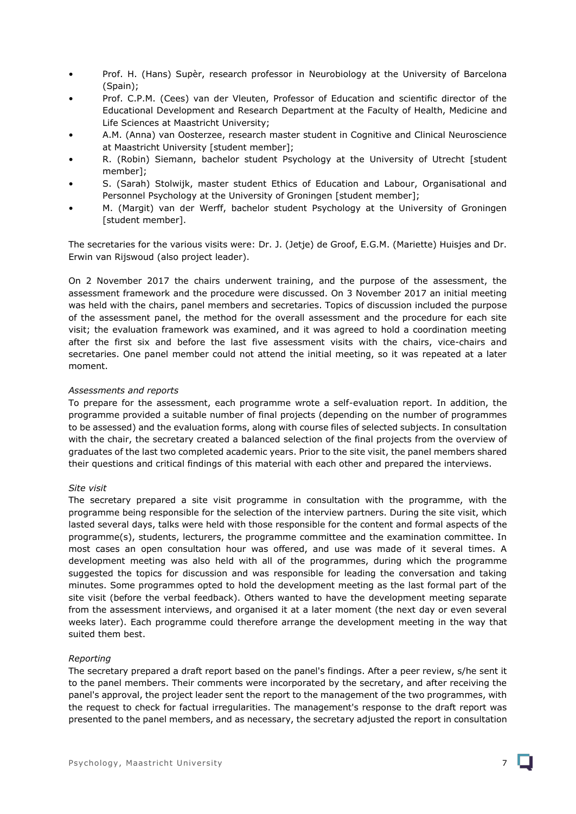- Prof. H. (Hans) Supèr, research professor in Neurobiology at the University of Barcelona (Spain);
- Prof. C.P.M. (Cees) van der Vleuten, Professor of Education and scientific director of the Educational Development and Research Department at the Faculty of Health, Medicine and Life Sciences at Maastricht University;
- A.M. (Anna) van Oosterzee, research master student in Cognitive and Clinical Neuroscience at Maastricht University [student member];
- R. (Robin) Siemann, bachelor student Psychology at the University of Utrecht [student member];
- S. (Sarah) Stolwijk, master student Ethics of Education and Labour, Organisational and Personnel Psychology at the University of Groningen [student member];
- M. (Margit) van der Werff, bachelor student Psychology at the University of Groningen [student member].

The secretaries for the various visits were: Dr. J. (Jetje) de Groof, E.G.M. (Mariette) Huisjes and Dr. Erwin van Rijswoud (also project leader).

On 2 November 2017 the chairs underwent training, and the purpose of the assessment, the assessment framework and the procedure were discussed. On 3 November 2017 an initial meeting was held with the chairs, panel members and secretaries. Topics of discussion included the purpose of the assessment panel, the method for the overall assessment and the procedure for each site visit; the evaluation framework was examined, and it was agreed to hold a coordination meeting after the first six and before the last five assessment visits with the chairs, vice-chairs and secretaries. One panel member could not attend the initial meeting, so it was repeated at a later moment.

#### *Assessments and reports*

To prepare for the assessment, each programme wrote a self-evaluation report. In addition, the programme provided a suitable number of final projects (depending on the number of programmes to be assessed) and the evaluation forms, along with course files of selected subjects. In consultation with the chair, the secretary created a balanced selection of the final projects from the overview of graduates of the last two completed academic years. Prior to the site visit, the panel members shared their questions and critical findings of this material with each other and prepared the interviews.

#### *Site visit*

The secretary prepared a site visit programme in consultation with the programme, with the programme being responsible for the selection of the interview partners. During the site visit, which lasted several days, talks were held with those responsible for the content and formal aspects of the programme(s), students, lecturers, the programme committee and the examination committee. In most cases an open consultation hour was offered, and use was made of it several times. A development meeting was also held with all of the programmes, during which the programme suggested the topics for discussion and was responsible for leading the conversation and taking minutes. Some programmes opted to hold the development meeting as the last formal part of the site visit (before the verbal feedback). Others wanted to have the development meeting separate from the assessment interviews, and organised it at a later moment (the next day or even several weeks later). Each programme could therefore arrange the development meeting in the way that suited them best.

#### *Reporting*

The secretary prepared a draft report based on the panel's findings. After a peer review, s/he sent it to the panel members. Their comments were incorporated by the secretary, and after receiving the panel's approval, the project leader sent the report to the management of the two programmes, with the request to check for factual irregularities. The management's response to the draft report was presented to the panel members, and as necessary, the secretary adjusted the report in consultation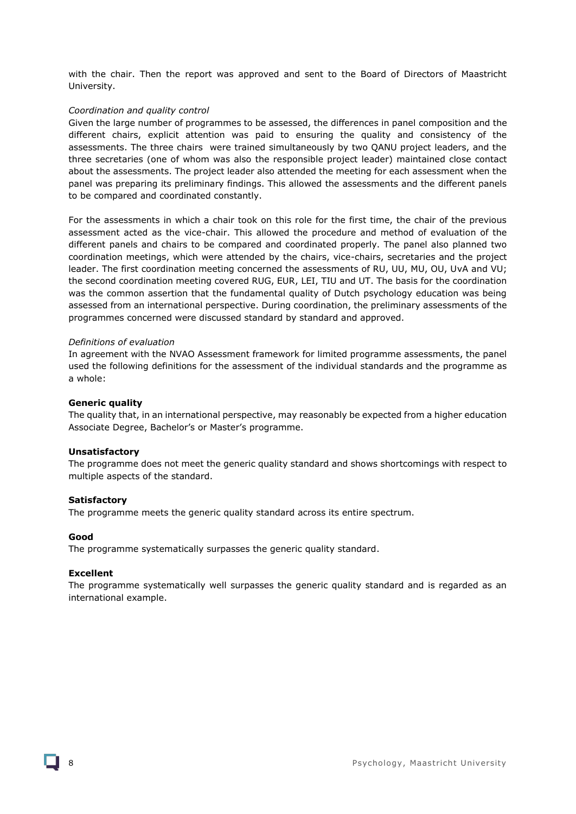with the chair. Then the report was approved and sent to the Board of Directors of Maastricht University.

#### *Coordination and quality control*

Given the large number of programmes to be assessed, the differences in panel composition and the different chairs, explicit attention was paid to ensuring the quality and consistency of the assessments. The three chairs were trained simultaneously by two QANU project leaders, and the three secretaries (one of whom was also the responsible project leader) maintained close contact about the assessments. The project leader also attended the meeting for each assessment when the panel was preparing its preliminary findings. This allowed the assessments and the different panels to be compared and coordinated constantly.

For the assessments in which a chair took on this role for the first time, the chair of the previous assessment acted as the vice-chair. This allowed the procedure and method of evaluation of the different panels and chairs to be compared and coordinated properly. The panel also planned two coordination meetings, which were attended by the chairs, vice-chairs, secretaries and the project leader. The first coordination meeting concerned the assessments of RU, UU, MU, OU, UvA and VU; the second coordination meeting covered RUG, EUR, LEI, TIU and UT. The basis for the coordination was the common assertion that the fundamental quality of Dutch psychology education was being assessed from an international perspective. During coordination, the preliminary assessments of the programmes concerned were discussed standard by standard and approved.

#### *Definitions of evaluation*

In agreement with the NVAO Assessment framework for limited programme assessments, the panel used the following definitions for the assessment of the individual standards and the programme as a whole:

#### **Generic quality**

The quality that, in an international perspective, may reasonably be expected from a higher education Associate Degree, Bachelor's or Master's programme.

#### **Unsatisfactory**

The programme does not meet the generic quality standard and shows shortcomings with respect to multiple aspects of the standard.

#### **Satisfactory**

The programme meets the generic quality standard across its entire spectrum.

#### **Good**

The programme systematically surpasses the generic quality standard.

#### **Excellent**

The programme systematically well surpasses the generic quality standard and is regarded as an international example.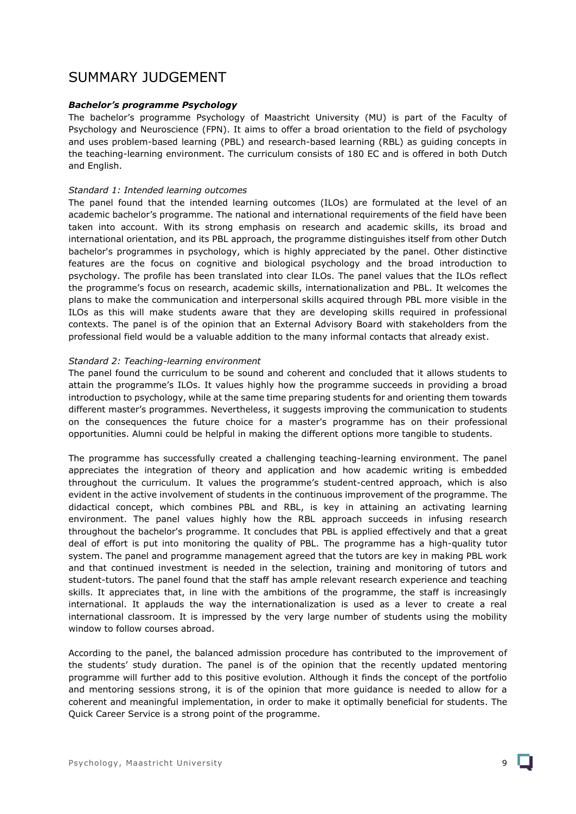# <span id="page-8-0"></span>SUMMARY JUDGEMENT

#### *Bachelor's programme Psychology*

The bachelor's programme Psychology of Maastricht University (MU) is part of the Faculty of Psychology and Neuroscience (FPN). It aims to offer a broad orientation to the field of psychology and uses problem-based learning (PBL) and research-based learning (RBL) as guiding concepts in the teaching-learning environment. The curriculum consists of 180 EC and is offered in both Dutch and English.

#### *Standard 1: Intended learning outcomes*

The panel found that the intended learning outcomes (ILOs) are formulated at the level of an academic bachelor's programme. The national and international requirements of the field have been taken into account. With its strong emphasis on research and academic skills, its broad and international orientation, and its PBL approach, the programme distinguishes itself from other Dutch bachelor's programmes in psychology, which is highly appreciated by the panel. Other distinctive features are the focus on cognitive and biological psychology and the broad introduction to psychology. The profile has been translated into clear ILOs. The panel values that the ILOs reflect the programme's focus on research, academic skills, internationalization and PBL. It welcomes the plans to make the communication and interpersonal skills acquired through PBL more visible in the ILOs as this will make students aware that they are developing skills required in professional contexts. The panel is of the opinion that an External Advisory Board with stakeholders from the professional field would be a valuable addition to the many informal contacts that already exist.

#### *Standard 2: Teaching-learning environment*

The panel found the curriculum to be sound and coherent and concluded that it allows students to attain the programme's ILOs. It values highly how the programme succeeds in providing a broad introduction to psychology, while at the same time preparing students for and orienting them towards different master's programmes. Nevertheless, it suggests improving the communication to students on the consequences the future choice for a master's programme has on their professional opportunities. Alumni could be helpful in making the different options more tangible to students.

The programme has successfully created a challenging teaching-learning environment. The panel appreciates the integration of theory and application and how academic writing is embedded throughout the curriculum. It values the programme's student-centred approach, which is also evident in the active involvement of students in the continuous improvement of the programme. The didactical concept, which combines PBL and RBL, is key in attaining an activating learning environment. The panel values highly how the RBL approach succeeds in infusing research throughout the bachelor's programme. It concludes that PBL is applied effectively and that a great deal of effort is put into monitoring the quality of PBL. The programme has a high-quality tutor system. The panel and programme management agreed that the tutors are key in making PBL work and that continued investment is needed in the selection, training and monitoring of tutors and student-tutors. The panel found that the staff has ample relevant research experience and teaching skills. It appreciates that, in line with the ambitions of the programme, the staff is increasingly international. It applauds the way the internationalization is used as a lever to create a real international classroom. It is impressed by the very large number of students using the mobility window to follow courses abroad.

According to the panel, the balanced admission procedure has contributed to the improvement of the students' study duration. The panel is of the opinion that the recently updated mentoring programme will further add to this positive evolution. Although it finds the concept of the portfolio and mentoring sessions strong, it is of the opinion that more guidance is needed to allow for a coherent and meaningful implementation, in order to make it optimally beneficial for students. The Quick Career Service is a strong point of the programme.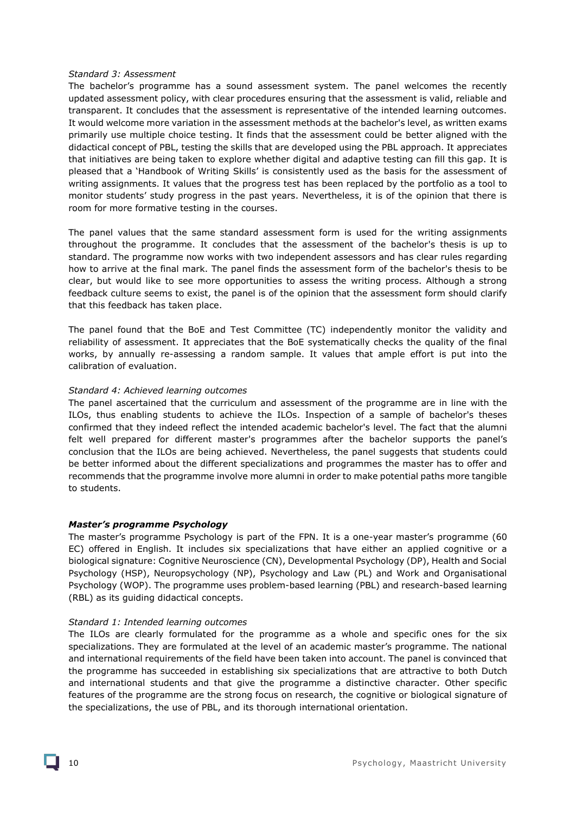#### *Standard 3: Assessment*

The bachelor's programme has a sound assessment system. The panel welcomes the recently updated assessment policy, with clear procedures ensuring that the assessment is valid, reliable and transparent. It concludes that the assessment is representative of the intended learning outcomes. It would welcome more variation in the assessment methods at the bachelor's level, as written exams primarily use multiple choice testing. It finds that the assessment could be better aligned with the didactical concept of PBL, testing the skills that are developed using the PBL approach. It appreciates that initiatives are being taken to explore whether digital and adaptive testing can fill this gap. It is pleased that a 'Handbook of Writing Skills' is consistently used as the basis for the assessment of writing assignments. It values that the progress test has been replaced by the portfolio as a tool to monitor students' study progress in the past years. Nevertheless, it is of the opinion that there is room for more formative testing in the courses.

The panel values that the same standard assessment form is used for the writing assignments throughout the programme. It concludes that the assessment of the bachelor's thesis is up to standard. The programme now works with two independent assessors and has clear rules regarding how to arrive at the final mark. The panel finds the assessment form of the bachelor's thesis to be clear, but would like to see more opportunities to assess the writing process. Although a strong feedback culture seems to exist, the panel is of the opinion that the assessment form should clarify that this feedback has taken place.

The panel found that the BoE and Test Committee (TC) independently monitor the validity and reliability of assessment. It appreciates that the BoE systematically checks the quality of the final works, by annually re-assessing a random sample. It values that ample effort is put into the calibration of evaluation.

#### *Standard 4: Achieved learning outcomes*

The panel ascertained that the curriculum and assessment of the programme are in line with the ILOs, thus enabling students to achieve the ILOs. Inspection of a sample of bachelor's theses confirmed that they indeed reflect the intended academic bachelor's level. The fact that the alumni felt well prepared for different master's programmes after the bachelor supports the panel's conclusion that the ILOs are being achieved. Nevertheless, the panel suggests that students could be better informed about the different specializations and programmes the master has to offer and recommends that the programme involve more alumni in order to make potential paths more tangible to students.

#### *Master's programme Psychology*

The master's programme Psychology is part of the FPN. It is a one-year master's programme (60 EC) offered in English. It includes six specializations that have either an applied cognitive or a biological signature: Cognitive Neuroscience (CN), Developmental Psychology (DP), Health and Social Psychology (HSP), Neuropsychology (NP), Psychology and Law (PL) and Work and Organisational Psychology (WOP). The programme uses problem-based learning (PBL) and research-based learning (RBL) as its guiding didactical concepts.

#### *Standard 1: Intended learning outcomes*

The ILOs are clearly formulated for the programme as a whole and specific ones for the six specializations. They are formulated at the level of an academic master's programme. The national and international requirements of the field have been taken into account. The panel is convinced that the programme has succeeded in establishing six specializations that are attractive to both Dutch and international students and that give the programme a distinctive character. Other specific features of the programme are the strong focus on research, the cognitive or biological signature of the specializations, the use of PBL, and its thorough international orientation.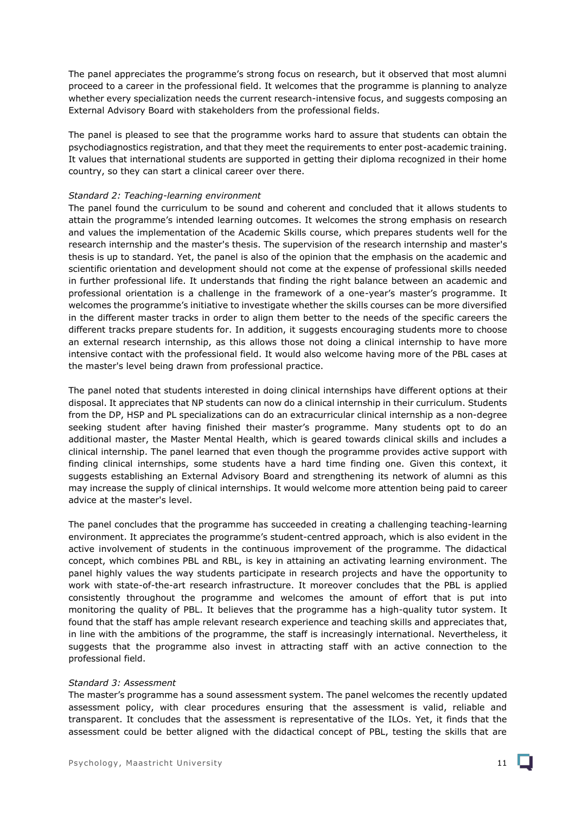The panel appreciates the programme's strong focus on research, but it observed that most alumni proceed to a career in the professional field. It welcomes that the programme is planning to analyze whether every specialization needs the current research-intensive focus, and suggests composing an External Advisory Board with stakeholders from the professional fields.

The panel is pleased to see that the programme works hard to assure that students can obtain the psychodiagnostics registration, and that they meet the requirements to enter post-academic training. It values that international students are supported in getting their diploma recognized in their home country, so they can start a clinical career over there.

#### *Standard 2: Teaching-learning environment*

The panel found the curriculum to be sound and coherent and concluded that it allows students to attain the programme's intended learning outcomes. It welcomes the strong emphasis on research and values the implementation of the Academic Skills course, which prepares students well for the research internship and the master's thesis. The supervision of the research internship and master's thesis is up to standard. Yet, the panel is also of the opinion that the emphasis on the academic and scientific orientation and development should not come at the expense of professional skills needed in further professional life. It understands that finding the right balance between an academic and professional orientation is a challenge in the framework of a one-year's master's programme. It welcomes the programme's initiative to investigate whether the skills courses can be more diversified in the different master tracks in order to align them better to the needs of the specific careers the different tracks prepare students for. In addition, it suggests encouraging students more to choose an external research internship, as this allows those not doing a clinical internship to have more intensive contact with the professional field. It would also welcome having more of the PBL cases at the master's level being drawn from professional practice.

The panel noted that students interested in doing clinical internships have different options at their disposal. It appreciates that NP students can now do a clinical internship in their curriculum. Students from the DP, HSP and PL specializations can do an extracurricular clinical internship as a non-degree seeking student after having finished their master's programme. Many students opt to do an additional master, the Master Mental Health, which is geared towards clinical skills and includes a clinical internship. The panel learned that even though the programme provides active support with finding clinical internships, some students have a hard time finding one. Given this context, it suggests establishing an External Advisory Board and strengthening its network of alumni as this may increase the supply of clinical internships. It would welcome more attention being paid to career advice at the master's level.

The panel concludes that the programme has succeeded in creating a challenging teaching-learning environment. It appreciates the programme's student-centred approach, which is also evident in the active involvement of students in the continuous improvement of the programme. The didactical concept, which combines PBL and RBL, is key in attaining an activating learning environment. The panel highly values the way students participate in research projects and have the opportunity to work with state-of-the-art research infrastructure. It moreover concludes that the PBL is applied consistently throughout the programme and welcomes the amount of effort that is put into monitoring the quality of PBL. It believes that the programme has a high-quality tutor system. It found that the staff has ample relevant research experience and teaching skills and appreciates that, in line with the ambitions of the programme, the staff is increasingly international. Nevertheless, it suggests that the programme also invest in attracting staff with an active connection to the professional field.

#### *Standard 3: Assessment*

The master's programme has a sound assessment system. The panel welcomes the recently updated assessment policy, with clear procedures ensuring that the assessment is valid, reliable and transparent. It concludes that the assessment is representative of the ILOs. Yet, it finds that the assessment could be better aligned with the didactical concept of PBL, testing the skills that are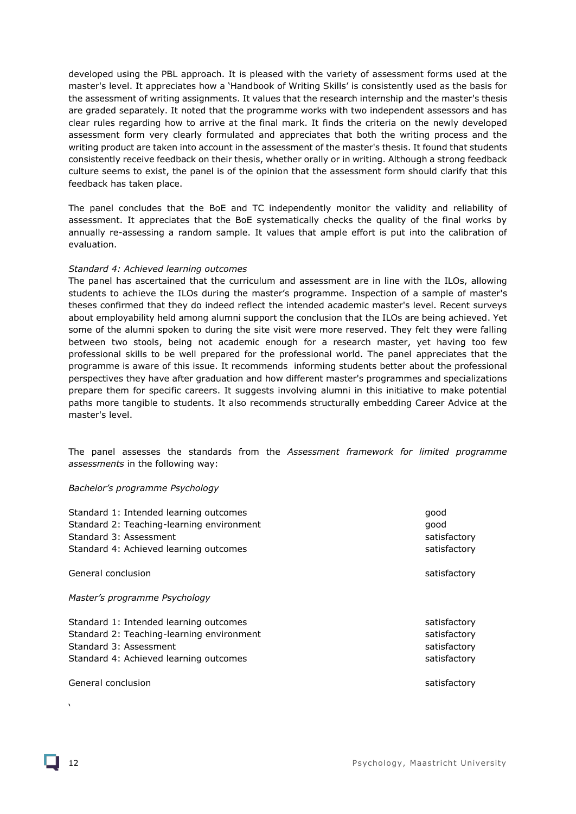developed using the PBL approach. It is pleased with the variety of assessment forms used at the master's level. It appreciates how a 'Handbook of Writing Skills' is consistently used as the basis for the assessment of writing assignments. It values that the research internship and the master's thesis are graded separately. It noted that the programme works with two independent assessors and has clear rules regarding how to arrive at the final mark. It finds the criteria on the newly developed assessment form very clearly formulated and appreciates that both the writing process and the writing product are taken into account in the assessment of the master's thesis. It found that students consistently receive feedback on their thesis, whether orally or in writing. Although a strong feedback culture seems to exist, the panel is of the opinion that the assessment form should clarify that this feedback has taken place.

The panel concludes that the BoE and TC independently monitor the validity and reliability of assessment. It appreciates that the BoE systematically checks the quality of the final works by annually re-assessing a random sample. It values that ample effort is put into the calibration of evaluation.

#### *Standard 4: Achieved learning outcomes*

The panel has ascertained that the curriculum and assessment are in line with the ILOs, allowing students to achieve the ILOs during the master's programme. Inspection of a sample of master's theses confirmed that they do indeed reflect the intended academic master's level. Recent surveys about employability held among alumni support the conclusion that the ILOs are being achieved. Yet some of the alumni spoken to during the site visit were more reserved. They felt they were falling between two stools, being not academic enough for a research master, yet having too few professional skills to be well prepared for the professional world. The panel appreciates that the programme is aware of this issue. It recommends informing students better about the professional perspectives they have after graduation and how different master's programmes and specializations prepare them for specific careers. It suggests involving alumni in this initiative to make potential paths more tangible to students. It also recommends structurally embedding Career Advice at the master's level.

The panel assesses the standards from the *Assessment framework for limited programme assessments* in the following way:

#### *Bachelor's programme Psychology*

| Standard 1: Intended learning outcomes<br>Standard 2: Teaching-learning environment<br>Standard 3: Assessment<br>Standard 4: Achieved learning outcomes | good<br>good<br>satisfactory<br>satisfactory                 |
|---------------------------------------------------------------------------------------------------------------------------------------------------------|--------------------------------------------------------------|
| General conclusion                                                                                                                                      | satisfactory                                                 |
| Master's programme Psychology                                                                                                                           |                                                              |
| Standard 1: Intended learning outcomes<br>Standard 2: Teaching-learning environment<br>Standard 3: Assessment<br>Standard 4: Achieved learning outcomes | satisfactory<br>satisfactory<br>satisfactory<br>satisfactory |
| General conclusion                                                                                                                                      | satisfactory                                                 |

'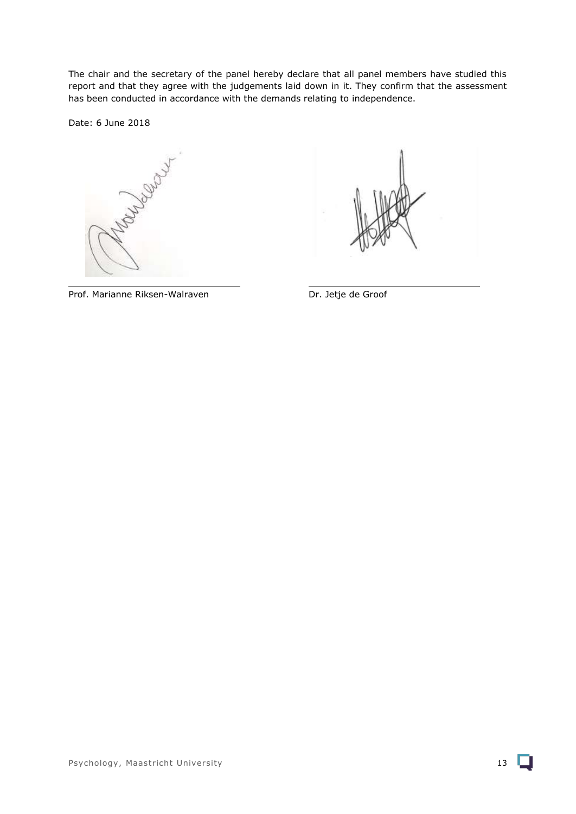The chair and the secretary of the panel hereby declare that all panel members have studied this report and that they agree with the judgements laid down in it. They confirm that the assessment has been conducted in accordance with the demands relating to independence.

Date: 6 June 2018

boury of

Prof. Marianne Riksen-Walraven Dr. Jetje de Groof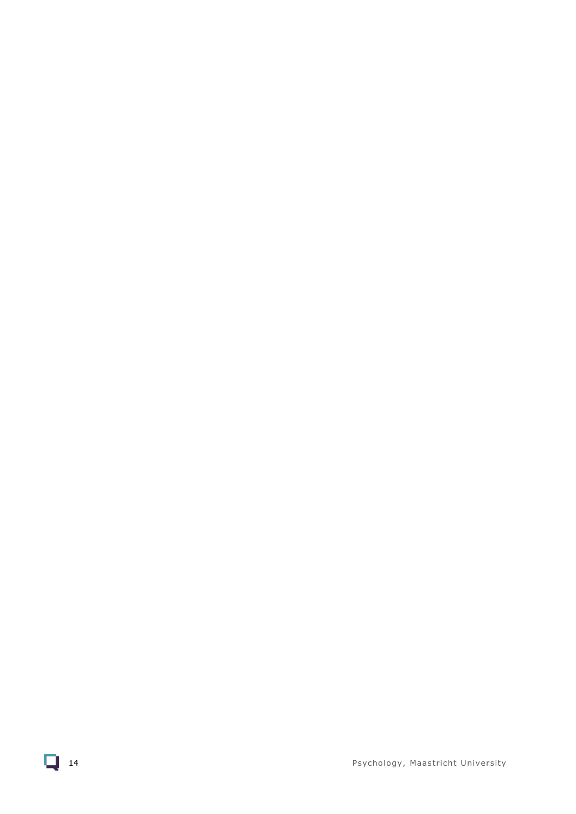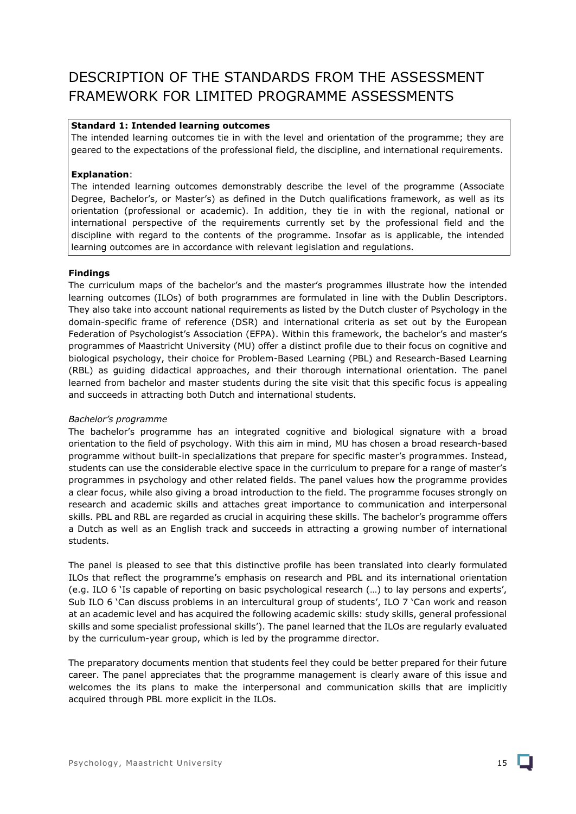# <span id="page-14-0"></span>DESCRIPTION OF THE STANDARDS FROM THE ASSESSMENT FRAMEWORK FOR LIMITED PROGRAMME ASSESSMENTS

### **Standard 1: Intended learning outcomes**

The intended learning outcomes tie in with the level and orientation of the programme; they are geared to the expectations of the professional field, the discipline, and international requirements.

### **Explanation**:

The intended learning outcomes demonstrably describe the level of the programme (Associate Degree, Bachelor's, or Master's) as defined in the Dutch qualifications framework, as well as its orientation (professional or academic). In addition, they tie in with the regional, national or international perspective of the requirements currently set by the professional field and the discipline with regard to the contents of the programme. Insofar as is applicable, the intended learning outcomes are in accordance with relevant legislation and regulations.

### **Findings**

The curriculum maps of the bachelor's and the master's programmes illustrate how the intended learning outcomes (ILOs) of both programmes are formulated in line with the Dublin Descriptors. They also take into account national requirements as listed by the Dutch cluster of Psychology in the domain-specific frame of reference (DSR) and international criteria as set out by the European Federation of Psychologist's Association (EFPA). Within this framework, the bachelor's and master's programmes of Maastricht University (MU) offer a distinct profile due to their focus on cognitive and biological psychology, their choice for Problem-Based Learning (PBL) and Research-Based Learning (RBL) as guiding didactical approaches, and their thorough international orientation. The panel learned from bachelor and master students during the site visit that this specific focus is appealing and succeeds in attracting both Dutch and international students.

### *Bachelor's programme*

The bachelor's programme has an integrated cognitive and biological signature with a broad orientation to the field of psychology. With this aim in mind, MU has chosen a broad research-based programme without built-in specializations that prepare for specific master's programmes. Instead, students can use the considerable elective space in the curriculum to prepare for a range of master's programmes in psychology and other related fields. The panel values how the programme provides a clear focus, while also giving a broad introduction to the field. The programme focuses strongly on research and academic skills and attaches great importance to communication and interpersonal skills. PBL and RBL are regarded as crucial in acquiring these skills. The bachelor's programme offers a Dutch as well as an English track and succeeds in attracting a growing number of international students.

The panel is pleased to see that this distinctive profile has been translated into clearly formulated ILOs that reflect the programme's emphasis on research and PBL and its international orientation (e.g. ILO 6 'Is capable of reporting on basic psychological research (…) to lay persons and experts', Sub ILO 6 'Can discuss problems in an intercultural group of students', ILO 7 'Can work and reason at an academic level and has acquired the following academic skills: study skills, general professional skills and some specialist professional skills'). The panel learned that the ILOs are regularly evaluated by the curriculum-year group, which is led by the programme director.

The preparatory documents mention that students feel they could be better prepared for their future career. The panel appreciates that the programme management is clearly aware of this issue and welcomes the its plans to make the interpersonal and communication skills that are implicitly acquired through PBL more explicit in the ILOs.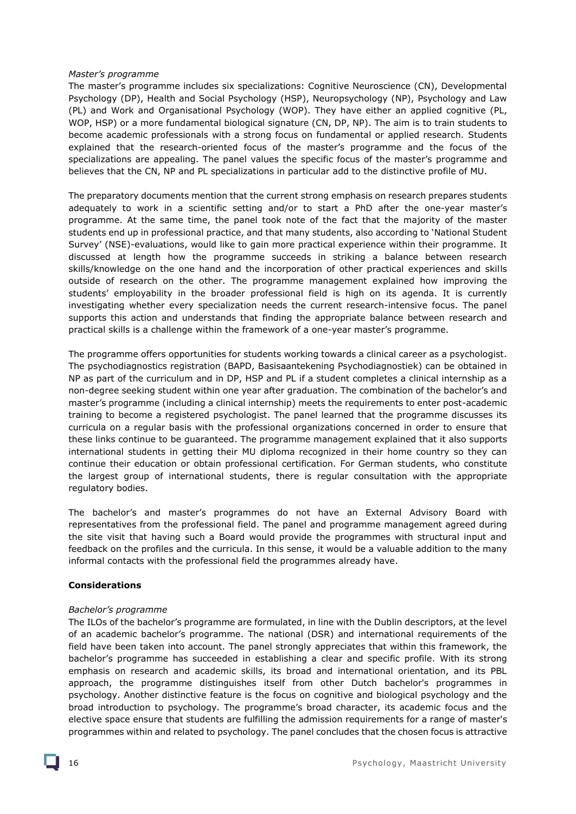#### *Master's programme*

The master's programme includes six specializations: Cognitive Neuroscience (CN), Developmental Psychology (DP), Health and Social Psychology (HSP), Neuropsychology (NP), Psychology and Law (PL) and Work and Organisational Psychology (WOP). They have either an applied cognitive (PL, WOP, HSP) or a more fundamental biological signature (CN, DP, NP). The aim is to train students to become academic professionals with a strong focus on fundamental or applied research. Students explained that the research-oriented focus of the master's programme and the focus of the specializations are appealing. The panel values the specific focus of the master's programme and believes that the CN, NP and PL specializations in particular add to the distinctive profile of MU.

The preparatory documents mention that the current strong emphasis on research prepares students adequately to work in a scientific setting and/or to start a PhD after the one-year master's programme. At the same time, the panel took note of the fact that the majority of the master students end up in professional practice, and that many students, also according to 'National Student Survey' (NSE)-evaluations, would like to gain more practical experience within their programme. It discussed at length how the programme succeeds in striking a balance between research skills/knowledge on the one hand and the incorporation of other practical experiences and skills outside of research on the other. The programme management explained how improving the students' employability in the broader professional field is high on its agenda. It is currently investigating whether every specialization needs the current research-intensive focus. The panel supports this action and understands that finding the appropriate balance between research and practical skills is a challenge within the framework of a one-year master's programme.

The programme offers opportunities for students working towards a clinical career as a psychologist. The psychodiagnostics registration (BAPD, Basisaantekening Psychodiagnostiek) can be obtained in NP as part of the curriculum and in DP, HSP and PL if a student completes a clinical internship as a non-degree seeking student within one year after graduation. The combination of the bachelor's and master's programme (including a clinical internship) meets the requirements to enter post-academic training to become a registered psychologist. The panel learned that the programme discusses its curricula on a regular basis with the professional organizations concerned in order to ensure that these links continue to be guaranteed. The programme management explained that it also supports international students in getting their MU diploma recognized in their home country so they can continue their education or obtain professional certification. For German students, who constitute the largest group of international students, there is regular consultation with the appropriate regulatory bodies.

The bachelor's and master's programmes do not have an External Advisory Board with representatives from the professional field. The panel and programme management agreed during the site visit that having such a Board would provide the programmes with structural input and feedback on the profiles and the curricula. In this sense, it would be a valuable addition to the many informal contacts with the professional field the programmes already have.

#### **Considerations**

#### *Bachelor's programme*

The ILOs of the bachelor's programme are formulated, in line with the Dublin descriptors, at the level of an academic bachelor's programme. The national (DSR) and international requirements of the field have been taken into account. The panel strongly appreciates that within this framework, the bachelor's programme has succeeded in establishing a clear and specific profile. With its strong emphasis on research and academic skills, its broad and international orientation, and its PBL approach, the programme distinguishes itself from other Dutch bachelor's programmes in psychology. Another distinctive feature is the focus on cognitive and biological psychology and the broad introduction to psychology. The programme's broad character, its academic focus and the elective space ensure that students are fulfilling the admission requirements for a range of master's programmes within and related to psychology. The panel concludes that the chosen focus is attractive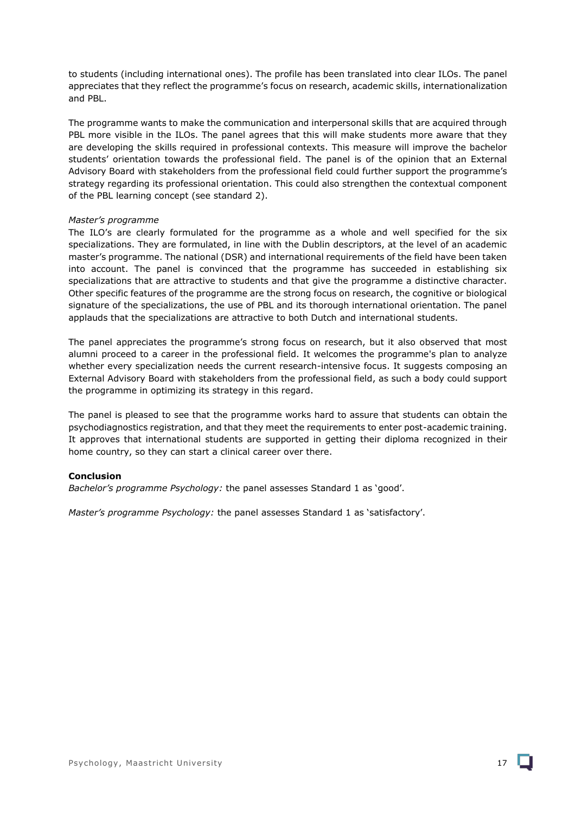to students (including international ones). The profile has been translated into clear ILOs. The panel appreciates that they reflect the programme's focus on research, academic skills, internationalization and PBL.

The programme wants to make the communication and interpersonal skills that are acquired through PBL more visible in the ILOs. The panel agrees that this will make students more aware that they are developing the skills required in professional contexts. This measure will improve the bachelor students' orientation towards the professional field. The panel is of the opinion that an External Advisory Board with stakeholders from the professional field could further support the programme's strategy regarding its professional orientation. This could also strengthen the contextual component of the PBL learning concept (see standard 2).

#### *Master's programme*

The ILO's are clearly formulated for the programme as a whole and well specified for the six specializations. They are formulated, in line with the Dublin descriptors, at the level of an academic master's programme. The national (DSR) and international requirements of the field have been taken into account. The panel is convinced that the programme has succeeded in establishing six specializations that are attractive to students and that give the programme a distinctive character. Other specific features of the programme are the strong focus on research, the cognitive or biological signature of the specializations, the use of PBL and its thorough international orientation. The panel applauds that the specializations are attractive to both Dutch and international students.

The panel appreciates the programme's strong focus on research, but it also observed that most alumni proceed to a career in the professional field. It welcomes the programme's plan to analyze whether every specialization needs the current research-intensive focus. It suggests composing an External Advisory Board with stakeholders from the professional field, as such a body could support the programme in optimizing its strategy in this regard.

The panel is pleased to see that the programme works hard to assure that students can obtain the psychodiagnostics registration, and that they meet the requirements to enter post-academic training. It approves that international students are supported in getting their diploma recognized in their home country, so they can start a clinical career over there.

#### **Conclusion**

*Bachelor's programme Psychology:* the panel assesses Standard 1 as 'good'.

*Master's programme Psychology:* the panel assesses Standard 1 as 'satisfactory'.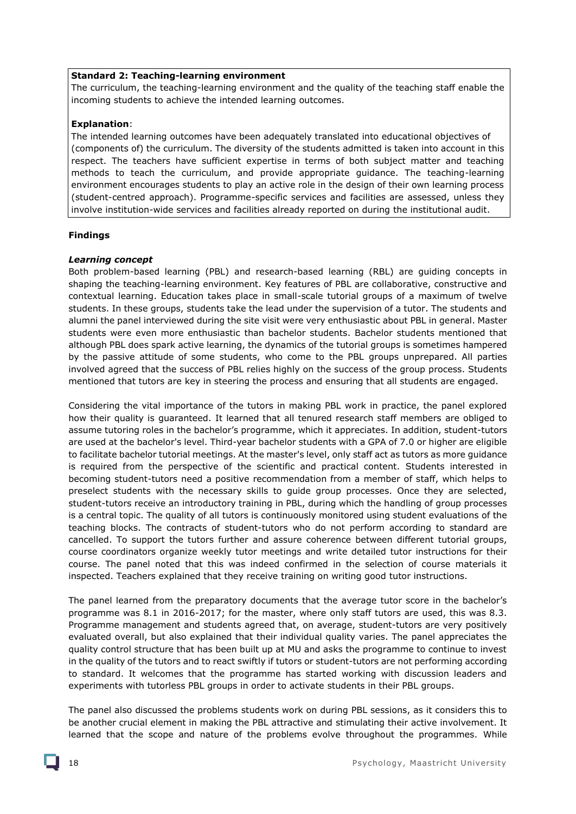#### **Standard 2: Teaching-learning environment**

The curriculum, the teaching-learning environment and the quality of the teaching staff enable the incoming students to achieve the intended learning outcomes.

#### **Explanation**:

The intended learning outcomes have been adequately translated into educational objectives of (components of) the curriculum. The diversity of the students admitted is taken into account in this respect. The teachers have sufficient expertise in terms of both subject matter and teaching methods to teach the curriculum, and provide appropriate guidance. The teaching-learning environment encourages students to play an active role in the design of their own learning process (student-centred approach). Programme-specific services and facilities are assessed, unless they involve institution-wide services and facilities already reported on during the institutional audit.

#### **Findings**

#### *Learning concept*

Both problem-based learning (PBL) and research-based learning (RBL) are guiding concepts in shaping the teaching-learning environment. Key features of PBL are collaborative, constructive and contextual learning. Education takes place in small-scale tutorial groups of a maximum of twelve students. In these groups, students take the lead under the supervision of a tutor. The students and alumni the panel interviewed during the site visit were very enthusiastic about PBL in general. Master students were even more enthusiastic than bachelor students. Bachelor students mentioned that although PBL does spark active learning, the dynamics of the tutorial groups is sometimes hampered by the passive attitude of some students, who come to the PBL groups unprepared. All parties involved agreed that the success of PBL relies highly on the success of the group process. Students mentioned that tutors are key in steering the process and ensuring that all students are engaged.

Considering the vital importance of the tutors in making PBL work in practice, the panel explored how their quality is guaranteed. It learned that all tenured research staff members are obliged to assume tutoring roles in the bachelor's programme, which it appreciates. In addition, student-tutors are used at the bachelor's level. Third-year bachelor students with a GPA of 7.0 or higher are eligible to facilitate bachelor tutorial meetings. At the master's level, only staff act as tutors as more guidance is required from the perspective of the scientific and practical content. Students interested in becoming student-tutors need a positive recommendation from a member of staff, which helps to preselect students with the necessary skills to guide group processes. Once they are selected, student-tutors receive an introductory training in PBL, during which the handling of group processes is a central topic. The quality of all tutors is continuously monitored using student evaluations of the teaching blocks. The contracts of student-tutors who do not perform according to standard are cancelled. To support the tutors further and assure coherence between different tutorial groups, course coordinators organize weekly tutor meetings and write detailed tutor instructions for their course. The panel noted that this was indeed confirmed in the selection of course materials it inspected. Teachers explained that they receive training on writing good tutor instructions.

The panel learned from the preparatory documents that the average tutor score in the bachelor's programme was 8.1 in 2016-2017; for the master, where only staff tutors are used, this was 8.3. Programme management and students agreed that, on average, student-tutors are very positively evaluated overall, but also explained that their individual quality varies. The panel appreciates the quality control structure that has been built up at MU and asks the programme to continue to invest in the quality of the tutors and to react swiftly if tutors or student-tutors are not performing according to standard. It welcomes that the programme has started working with discussion leaders and experiments with tutorless PBL groups in order to activate students in their PBL groups.

The panel also discussed the problems students work on during PBL sessions, as it considers this to be another crucial element in making the PBL attractive and stimulating their active involvement. It learned that the scope and nature of the problems evolve throughout the programmes. While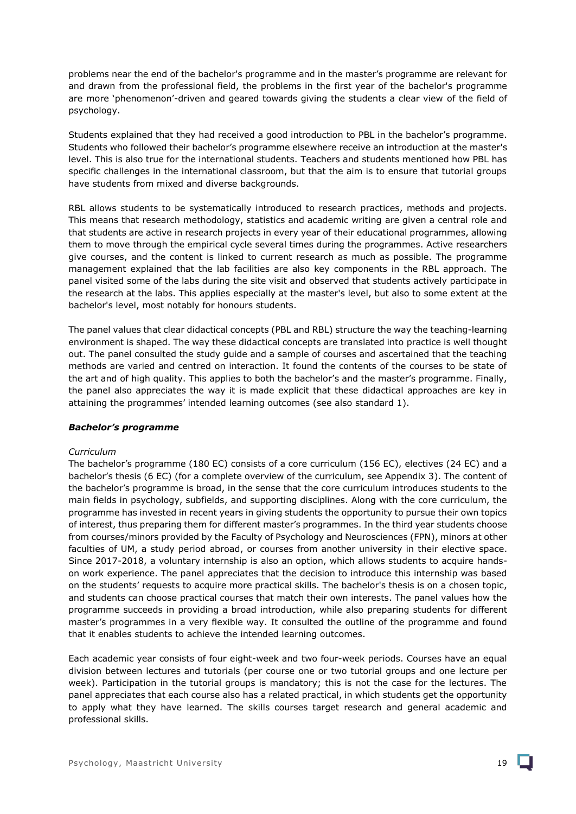problems near the end of the bachelor's programme and in the master's programme are relevant for and drawn from the professional field, the problems in the first year of the bachelor's programme are more 'phenomenon'-driven and geared towards giving the students a clear view of the field of psychology.

Students explained that they had received a good introduction to PBL in the bachelor's programme. Students who followed their bachelor's programme elsewhere receive an introduction at the master's level. This is also true for the international students. Teachers and students mentioned how PBL has specific challenges in the international classroom, but that the aim is to ensure that tutorial groups have students from mixed and diverse backgrounds.

RBL allows students to be systematically introduced to research practices, methods and projects. This means that research methodology, statistics and academic writing are given a central role and that students are active in research projects in every year of their educational programmes, allowing them to move through the empirical cycle several times during the programmes. Active researchers give courses, and the content is linked to current research as much as possible. The programme management explained that the lab facilities are also key components in the RBL approach. The panel visited some of the labs during the site visit and observed that students actively participate in the research at the labs. This applies especially at the master's level, but also to some extent at the bachelor's level, most notably for honours students.

The panel values that clear didactical concepts (PBL and RBL) structure the way the teaching-learning environment is shaped. The way these didactical concepts are translated into practice is well thought out. The panel consulted the study guide and a sample of courses and ascertained that the teaching methods are varied and centred on interaction. It found the contents of the courses to be state of the art and of high quality. This applies to both the bachelor's and the master's programme. Finally, the panel also appreciates the way it is made explicit that these didactical approaches are key in attaining the programmes' intended learning outcomes (see also standard 1).

#### *Bachelor's programme*

#### *Curriculum*

The bachelor's programme (180 EC) consists of a core curriculum (156 EC), electives (24 EC) and a bachelor's thesis (6 EC) (for a complete overview of the curriculum, see Appendix 3). The content of the bachelor's programme is broad, in the sense that the core curriculum introduces students to the main fields in psychology, subfields, and supporting disciplines. Along with the core curriculum, the programme has invested in recent years in giving students the opportunity to pursue their own topics of interest, thus preparing them for different master's programmes. In the third year students choose from courses/minors provided by the Faculty of Psychology and Neurosciences (FPN), minors at other faculties of UM, a study period abroad, or courses from another university in their elective space. Since 2017-2018, a voluntary internship is also an option, which allows students to acquire handson work experience. The panel appreciates that the decision to introduce this internship was based on the students' requests to acquire more practical skills. The bachelor's thesis is on a chosen topic, and students can choose practical courses that match their own interests. The panel values how the programme succeeds in providing a broad introduction, while also preparing students for different master's programmes in a very flexible way. It consulted the outline of the programme and found that it enables students to achieve the intended learning outcomes.

Each academic year consists of four eight-week and two four-week periods. Courses have an equal division between lectures and tutorials (per course one or two tutorial groups and one lecture per week). Participation in the tutorial groups is mandatory; this is not the case for the lectures. The panel appreciates that each course also has a related practical, in which students get the opportunity to apply what they have learned. The skills courses target research and general academic and professional skills.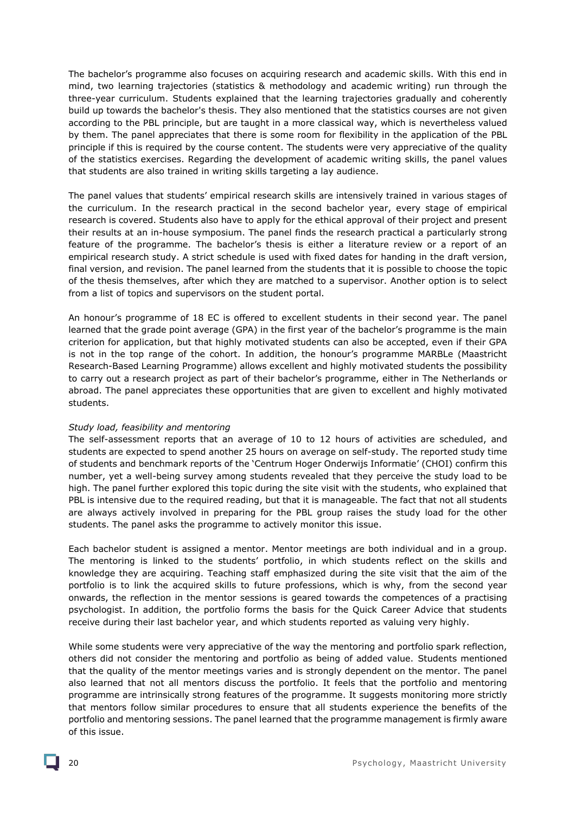The bachelor's programme also focuses on acquiring research and academic skills. With this end in mind, two learning trajectories (statistics & methodology and academic writing) run through the three-year curriculum. Students explained that the learning trajectories gradually and coherently build up towards the bachelor's thesis. They also mentioned that the statistics courses are not given according to the PBL principle, but are taught in a more classical way, which is nevertheless valued by them. The panel appreciates that there is some room for flexibility in the application of the PBL principle if this is required by the course content. The students were very appreciative of the quality of the statistics exercises. Regarding the development of academic writing skills, the panel values that students are also trained in writing skills targeting a lay audience.

The panel values that students' empirical research skills are intensively trained in various stages of the curriculum. In the research practical in the second bachelor year, every stage of empirical research is covered. Students also have to apply for the ethical approval of their project and present their results at an in-house symposium. The panel finds the research practical a particularly strong feature of the programme. The bachelor's thesis is either a literature review or a report of an empirical research study. A strict schedule is used with fixed dates for handing in the draft version, final version, and revision. The panel learned from the students that it is possible to choose the topic of the thesis themselves, after which they are matched to a supervisor. Another option is to select from a list of topics and supervisors on the student portal.

An honour's programme of 18 EC is offered to excellent students in their second year. The panel learned that the grade point average (GPA) in the first year of the bachelor's programme is the main criterion for application, but that highly motivated students can also be accepted, even if their GPA is not in the top range of the cohort. In addition, the honour's programme MARBLe (Maastricht Research-Based Learning Programme) allows excellent and highly motivated students the possibility to carry out a research project as part of their bachelor's programme, either in The Netherlands or abroad. The panel appreciates these opportunities that are given to excellent and highly motivated students.

#### *Study load, feasibility and mentoring*

The self-assessment reports that an average of 10 to 12 hours of activities are scheduled, and students are expected to spend another 25 hours on average on self-study. The reported study time of students and benchmark reports of the 'Centrum Hoger Onderwijs Informatie' (CHOI) confirm this number, yet a well-being survey among students revealed that they perceive the study load to be high. The panel further explored this topic during the site visit with the students, who explained that PBL is intensive due to the required reading, but that it is manageable. The fact that not all students are always actively involved in preparing for the PBL group raises the study load for the other students. The panel asks the programme to actively monitor this issue.

Each bachelor student is assigned a mentor. Mentor meetings are both individual and in a group. The mentoring is linked to the students' portfolio, in which students reflect on the skills and knowledge they are acquiring. Teaching staff emphasized during the site visit that the aim of the portfolio is to link the acquired skills to future professions, which is why, from the second year onwards, the reflection in the mentor sessions is geared towards the competences of a practising psychologist. In addition, the portfolio forms the basis for the Quick Career Advice that students receive during their last bachelor year, and which students reported as valuing very highly.

While some students were very appreciative of the way the mentoring and portfolio spark reflection, others did not consider the mentoring and portfolio as being of added value. Students mentioned that the quality of the mentor meetings varies and is strongly dependent on the mentor. The panel also learned that not all mentors discuss the portfolio. It feels that the portfolio and mentoring programme are intrinsically strong features of the programme. It suggests monitoring more strictly that mentors follow similar procedures to ensure that all students experience the benefits of the portfolio and mentoring sessions. The panel learned that the programme management is firmly aware of this issue.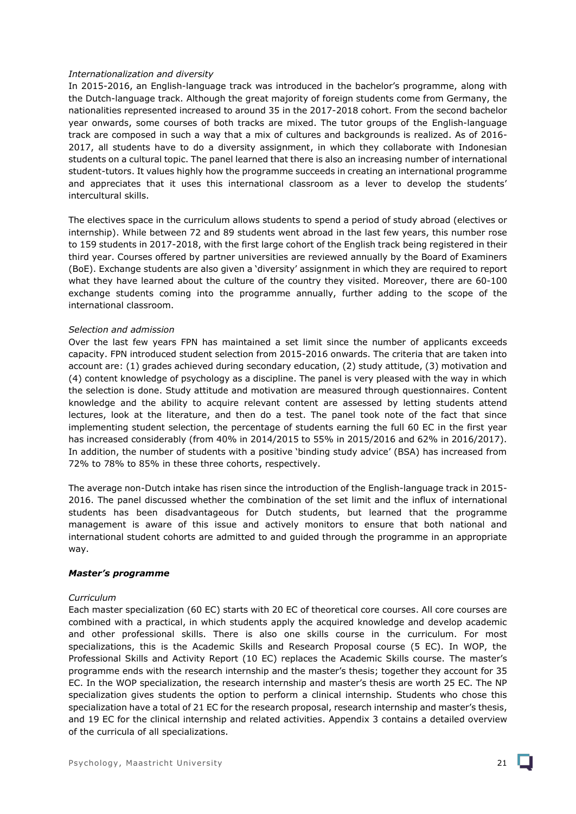#### *Internationalization and diversity*

In 2015-2016, an English-language track was introduced in the bachelor's programme, along with the Dutch-language track. Although the great majority of foreign students come from Germany, the nationalities represented increased to around 35 in the 2017-2018 cohort. From the second bachelor year onwards, some courses of both tracks are mixed. The tutor groups of the English-language track are composed in such a way that a mix of cultures and backgrounds is realized. As of 2016- 2017, all students have to do a diversity assignment, in which they collaborate with Indonesian students on a cultural topic. The panel learned that there is also an increasing number of international student-tutors. It values highly how the programme succeeds in creating an international programme and appreciates that it uses this international classroom as a lever to develop the students' intercultural skills.

The electives space in the curriculum allows students to spend a period of study abroad (electives or internship). While between 72 and 89 students went abroad in the last few years, this number rose to 159 students in 2017-2018, with the first large cohort of the English track being registered in their third year. Courses offered by partner universities are reviewed annually by the Board of Examiners (BoE). Exchange students are also given a 'diversity' assignment in which they are required to report what they have learned about the culture of the country they visited. Moreover, there are 60-100 exchange students coming into the programme annually, further adding to the scope of the international classroom.

#### *Selection and admission*

Over the last few years FPN has maintained a set limit since the number of applicants exceeds capacity. FPN introduced student selection from 2015-2016 onwards. The criteria that are taken into account are: (1) grades achieved during secondary education, (2) study attitude, (3) motivation and (4) content knowledge of psychology as a discipline. The panel is very pleased with the way in which the selection is done. Study attitude and motivation are measured through questionnaires. Content knowledge and the ability to acquire relevant content are assessed by letting students attend lectures, look at the literature, and then do a test. The panel took note of the fact that since implementing student selection, the percentage of students earning the full 60 EC in the first year has increased considerably (from 40% in 2014/2015 to 55% in 2015/2016 and 62% in 2016/2017). In addition, the number of students with a positive 'binding study advice' (BSA) has increased from 72% to 78% to 85% in these three cohorts, respectively.

The average non-Dutch intake has risen since the introduction of the English-language track in 2015- 2016. The panel discussed whether the combination of the set limit and the influx of international students has been disadvantageous for Dutch students, but learned that the programme management is aware of this issue and actively monitors to ensure that both national and international student cohorts are admitted to and guided through the programme in an appropriate way.

#### *Master's programme*

#### *Curriculum*

Each master specialization (60 EC) starts with 20 EC of theoretical core courses. All core courses are combined with a practical, in which students apply the acquired knowledge and develop academic and other professional skills. There is also one skills course in the curriculum. For most specializations, this is the Academic Skills and Research Proposal course (5 EC). In WOP, the Professional Skills and Activity Report (10 EC) replaces the Academic Skills course. The master's programme ends with the research internship and the master's thesis; together they account for 35 EC. In the WOP specialization, the research internship and master's thesis are worth 25 EC. The NP specialization gives students the option to perform a clinical internship. Students who chose this specialization have a total of 21 EC for the research proposal, research internship and master's thesis, and 19 EC for the clinical internship and related activities. Appendix 3 contains a detailed overview of the curricula of all specializations.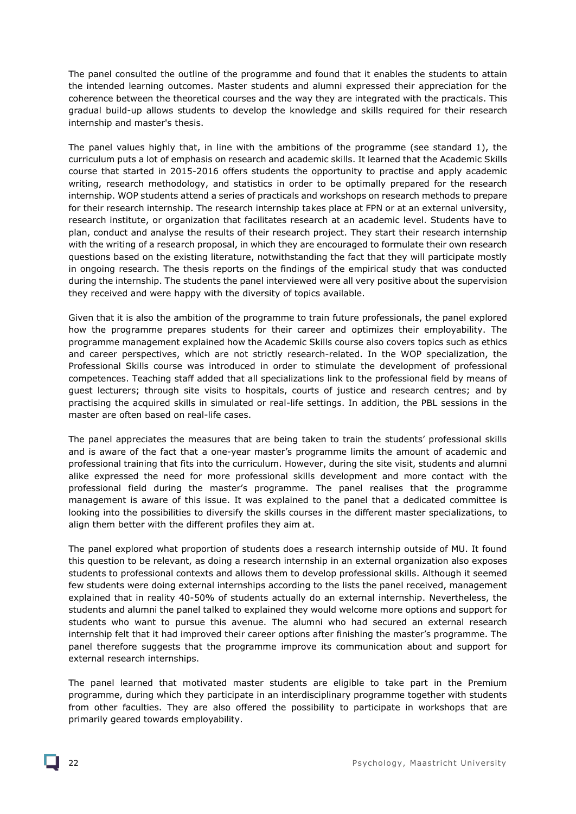The panel consulted the outline of the programme and found that it enables the students to attain the intended learning outcomes. Master students and alumni expressed their appreciation for the coherence between the theoretical courses and the way they are integrated with the practicals. This gradual build-up allows students to develop the knowledge and skills required for their research internship and master's thesis.

The panel values highly that, in line with the ambitions of the programme (see standard 1), the curriculum puts a lot of emphasis on research and academic skills. It learned that the Academic Skills course that started in 2015-2016 offers students the opportunity to practise and apply academic writing, research methodology, and statistics in order to be optimally prepared for the research internship. WOP students attend a series of practicals and workshops on research methods to prepare for their research internship. The research internship takes place at FPN or at an external university, research institute, or organization that facilitates research at an academic level. Students have to plan, conduct and analyse the results of their research project. They start their research internship with the writing of a research proposal, in which they are encouraged to formulate their own research questions based on the existing literature, notwithstanding the fact that they will participate mostly in ongoing research. The thesis reports on the findings of the empirical study that was conducted during the internship. The students the panel interviewed were all very positive about the supervision they received and were happy with the diversity of topics available.

Given that it is also the ambition of the programme to train future professionals, the panel explored how the programme prepares students for their career and optimizes their employability. The programme management explained how the Academic Skills course also covers topics such as ethics and career perspectives, which are not strictly research-related. In the WOP specialization, the Professional Skills course was introduced in order to stimulate the development of professional competences. Teaching staff added that all specializations link to the professional field by means of guest lecturers; through site visits to hospitals, courts of justice and research centres; and by practising the acquired skills in simulated or real-life settings. In addition, the PBL sessions in the master are often based on real-life cases.

The panel appreciates the measures that are being taken to train the students' professional skills and is aware of the fact that a one-year master's programme limits the amount of academic and professional training that fits into the curriculum. However, during the site visit, students and alumni alike expressed the need for more professional skills development and more contact with the professional field during the master's programme. The panel realises that the programme management is aware of this issue. It was explained to the panel that a dedicated committee is looking into the possibilities to diversify the skills courses in the different master specializations, to align them better with the different profiles they aim at.

The panel explored what proportion of students does a research internship outside of MU. It found this question to be relevant, as doing a research internship in an external organization also exposes students to professional contexts and allows them to develop professional skills. Although it seemed few students were doing external internships according to the lists the panel received, management explained that in reality 40-50% of students actually do an external internship. Nevertheless, the students and alumni the panel talked to explained they would welcome more options and support for students who want to pursue this avenue. The alumni who had secured an external research internship felt that it had improved their career options after finishing the master's programme. The panel therefore suggests that the programme improve its communication about and support for external research internships.

The panel learned that motivated master students are eligible to take part in the Premium programme, during which they participate in an interdisciplinary programme together with students from other faculties. They are also offered the possibility to participate in workshops that are primarily geared towards employability.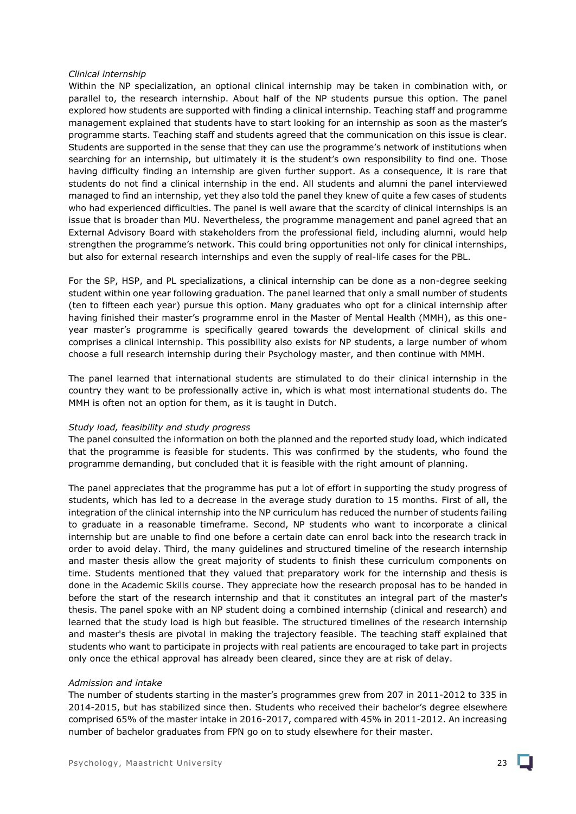#### *Clinical internship*

Within the NP specialization, an optional clinical internship may be taken in combination with, or parallel to, the research internship. About half of the NP students pursue this option. The panel explored how students are supported with finding a clinical internship. Teaching staff and programme management explained that students have to start looking for an internship as soon as the master's programme starts. Teaching staff and students agreed that the communication on this issue is clear. Students are supported in the sense that they can use the programme's network of institutions when searching for an internship, but ultimately it is the student's own responsibility to find one. Those having difficulty finding an internship are given further support. As a consequence, it is rare that students do not find a clinical internship in the end. All students and alumni the panel interviewed managed to find an internship, yet they also told the panel they knew of quite a few cases of students who had experienced difficulties. The panel is well aware that the scarcity of clinical internships is an issue that is broader than MU. Nevertheless, the programme management and panel agreed that an External Advisory Board with stakeholders from the professional field, including alumni, would help strengthen the programme's network. This could bring opportunities not only for clinical internships, but also for external research internships and even the supply of real-life cases for the PBL.

For the SP, HSP, and PL specializations, a clinical internship can be done as a non-degree seeking student within one year following graduation. The panel learned that only a small number of students (ten to fifteen each year) pursue this option. Many graduates who opt for a clinical internship after having finished their master's programme enrol in the Master of Mental Health (MMH), as this oneyear master's programme is specifically geared towards the development of clinical skills and comprises a clinical internship. This possibility also exists for NP students, a large number of whom choose a full research internship during their Psychology master, and then continue with MMH.

The panel learned that international students are stimulated to do their clinical internship in the country they want to be professionally active in, which is what most international students do. The MMH is often not an option for them, as it is taught in Dutch.

#### *Study load, feasibility and study progress*

The panel consulted the information on both the planned and the reported study load, which indicated that the programme is feasible for students. This was confirmed by the students, who found the programme demanding, but concluded that it is feasible with the right amount of planning.

The panel appreciates that the programme has put a lot of effort in supporting the study progress of students, which has led to a decrease in the average study duration to 15 months. First of all, the integration of the clinical internship into the NP curriculum has reduced the number of students failing to graduate in a reasonable timeframe. Second, NP students who want to incorporate a clinical internship but are unable to find one before a certain date can enrol back into the research track in order to avoid delay. Third, the many guidelines and structured timeline of the research internship and master thesis allow the great majority of students to finish these curriculum components on time. Students mentioned that they valued that preparatory work for the internship and thesis is done in the Academic Skills course. They appreciate how the research proposal has to be handed in before the start of the research internship and that it constitutes an integral part of the master's thesis. The panel spoke with an NP student doing a combined internship (clinical and research) and learned that the study load is high but feasible. The structured timelines of the research internship and master's thesis are pivotal in making the trajectory feasible. The teaching staff explained that students who want to participate in projects with real patients are encouraged to take part in projects only once the ethical approval has already been cleared, since they are at risk of delay.

#### *Admission and intake*

The number of students starting in the master's programmes grew from 207 in 2011-2012 to 335 in 2014-2015, but has stabilized since then. Students who received their bachelor's degree elsewhere comprised 65% of the master intake in 2016-2017, compared with 45% in 2011-2012. An increasing number of bachelor graduates from FPN go on to study elsewhere for their master.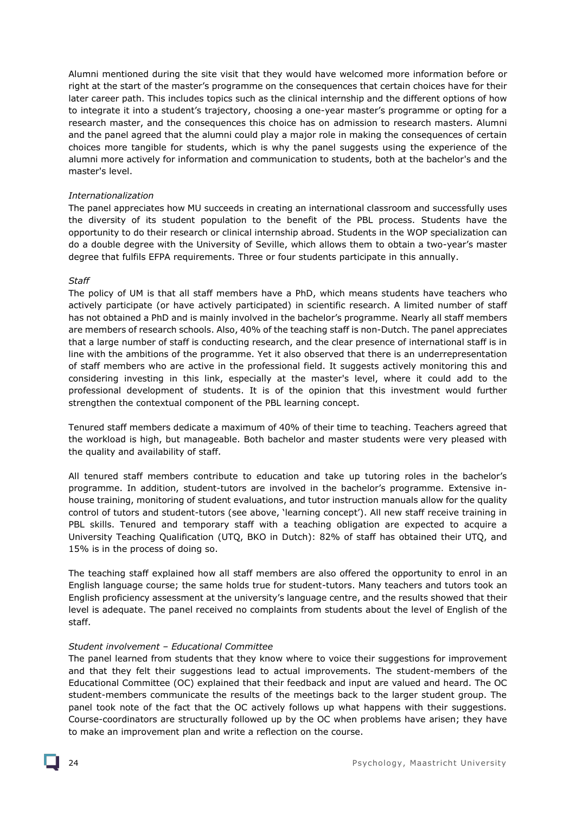Alumni mentioned during the site visit that they would have welcomed more information before or right at the start of the master's programme on the consequences that certain choices have for their later career path. This includes topics such as the clinical internship and the different options of how to integrate it into a student's trajectory, choosing a one-year master's programme or opting for a research master, and the consequences this choice has on admission to research masters. Alumni and the panel agreed that the alumni could play a major role in making the consequences of certain choices more tangible for students, which is why the panel suggests using the experience of the alumni more actively for information and communication to students, both at the bachelor's and the master's level.

#### *Internationalization*

The panel appreciates how MU succeeds in creating an international classroom and successfully uses the diversity of its student population to the benefit of the PBL process. Students have the opportunity to do their research or clinical internship abroad. Students in the WOP specialization can do a double degree with the University of Seville, which allows them to obtain a two-year's master degree that fulfils EFPA requirements. Three or four students participate in this annually.

#### *Staff*

The policy of UM is that all staff members have a PhD, which means students have teachers who actively participate (or have actively participated) in scientific research. A limited number of staff has not obtained a PhD and is mainly involved in the bachelor's programme. Nearly all staff members are members of research schools. Also, 40% of the teaching staff is non-Dutch. The panel appreciates that a large number of staff is conducting research, and the clear presence of international staff is in line with the ambitions of the programme. Yet it also observed that there is an underrepresentation of staff members who are active in the professional field. It suggests actively monitoring this and considering investing in this link, especially at the master's level, where it could add to the professional development of students. It is of the opinion that this investment would further strengthen the contextual component of the PBL learning concept.

Tenured staff members dedicate a maximum of 40% of their time to teaching. Teachers agreed that the workload is high, but manageable. Both bachelor and master students were very pleased with the quality and availability of staff.

All tenured staff members contribute to education and take up tutoring roles in the bachelor's programme. In addition, student-tutors are involved in the bachelor's programme. Extensive inhouse training, monitoring of student evaluations, and tutor instruction manuals allow for the quality control of tutors and student-tutors (see above, 'learning concept'). All new staff receive training in PBL skills. Tenured and temporary staff with a teaching obligation are expected to acquire a University Teaching Qualification (UTQ, BKO in Dutch): 82% of staff has obtained their UTQ, and 15% is in the process of doing so.

The teaching staff explained how all staff members are also offered the opportunity to enrol in an English language course; the same holds true for student-tutors. Many teachers and tutors took an English proficiency assessment at the university's language centre, and the results showed that their level is adequate. The panel received no complaints from students about the level of English of the staff.

#### *Student involvement – Educational Committee*

The panel learned from students that they know where to voice their suggestions for improvement and that they felt their suggestions lead to actual improvements. The student-members of the Educational Committee (OC) explained that their feedback and input are valued and heard. The OC student-members communicate the results of the meetings back to the larger student group. The panel took note of the fact that the OC actively follows up what happens with their suggestions. Course-coordinators are structurally followed up by the OC when problems have arisen; they have to make an improvement plan and write a reflection on the course.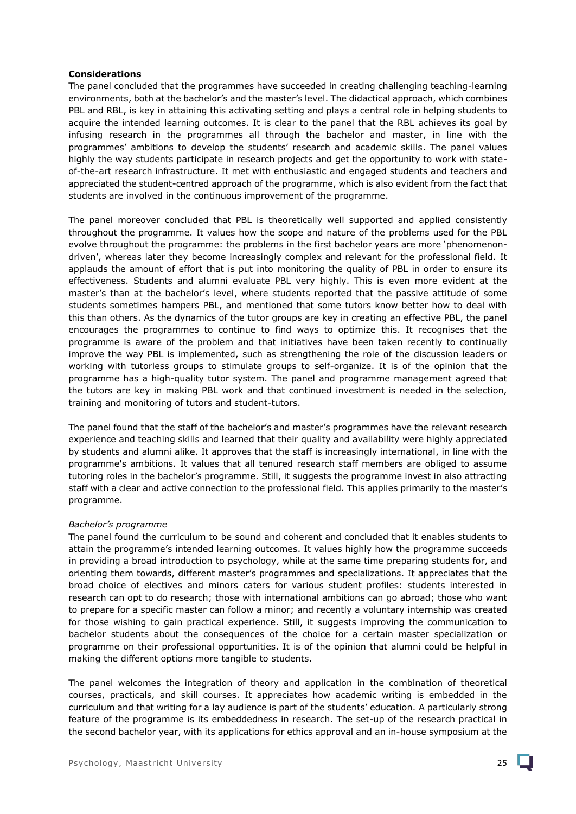#### **Considerations**

The panel concluded that the programmes have succeeded in creating challenging teaching-learning environments, both at the bachelor's and the master's level. The didactical approach, which combines PBL and RBL, is key in attaining this activating setting and plays a central role in helping students to acquire the intended learning outcomes. It is clear to the panel that the RBL achieves its goal by infusing research in the programmes all through the bachelor and master, in line with the programmes' ambitions to develop the students' research and academic skills. The panel values highly the way students participate in research projects and get the opportunity to work with stateof-the-art research infrastructure. It met with enthusiastic and engaged students and teachers and appreciated the student-centred approach of the programme, which is also evident from the fact that students are involved in the continuous improvement of the programme.

The panel moreover concluded that PBL is theoretically well supported and applied consistently throughout the programme. It values how the scope and nature of the problems used for the PBL evolve throughout the programme: the problems in the first bachelor years are more 'phenomenondriven', whereas later they become increasingly complex and relevant for the professional field. It applauds the amount of effort that is put into monitoring the quality of PBL in order to ensure its effectiveness. Students and alumni evaluate PBL very highly. This is even more evident at the master's than at the bachelor's level, where students reported that the passive attitude of some students sometimes hampers PBL, and mentioned that some tutors know better how to deal with this than others. As the dynamics of the tutor groups are key in creating an effective PBL, the panel encourages the programmes to continue to find ways to optimize this. It recognises that the programme is aware of the problem and that initiatives have been taken recently to continually improve the way PBL is implemented, such as strengthening the role of the discussion leaders or working with tutorless groups to stimulate groups to self-organize. It is of the opinion that the programme has a high-quality tutor system. The panel and programme management agreed that the tutors are key in making PBL work and that continued investment is needed in the selection, training and monitoring of tutors and student-tutors.

The panel found that the staff of the bachelor's and master's programmes have the relevant research experience and teaching skills and learned that their quality and availability were highly appreciated by students and alumni alike. It approves that the staff is increasingly international, in line with the programme's ambitions. It values that all tenured research staff members are obliged to assume tutoring roles in the bachelor's programme. Still, it suggests the programme invest in also attracting staff with a clear and active connection to the professional field. This applies primarily to the master's programme.

#### *Bachelor's programme*

The panel found the curriculum to be sound and coherent and concluded that it enables students to attain the programme's intended learning outcomes. It values highly how the programme succeeds in providing a broad introduction to psychology, while at the same time preparing students for, and orienting them towards, different master's programmes and specializations. It appreciates that the broad choice of electives and minors caters for various student profiles: students interested in research can opt to do research; those with international ambitions can go abroad; those who want to prepare for a specific master can follow a minor; and recently a voluntary internship was created for those wishing to gain practical experience. Still, it suggests improving the communication to bachelor students about the consequences of the choice for a certain master specialization or programme on their professional opportunities. It is of the opinion that alumni could be helpful in making the different options more tangible to students.

The panel welcomes the integration of theory and application in the combination of theoretical courses, practicals, and skill courses. It appreciates how academic writing is embedded in the curriculum and that writing for a lay audience is part of the students' education. A particularly strong feature of the programme is its embeddedness in research. The set-up of the research practical in the second bachelor year, with its applications for ethics approval and an in-house symposium at the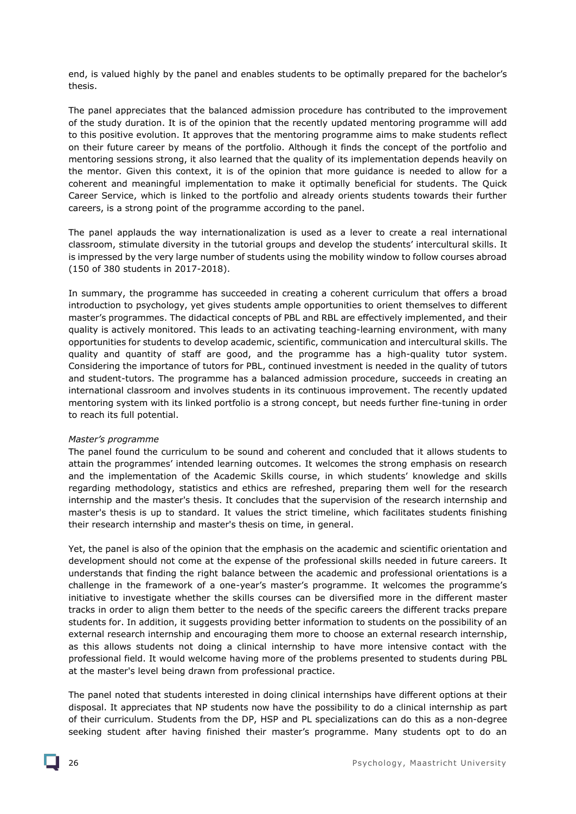end, is valued highly by the panel and enables students to be optimally prepared for the bachelor's thesis.

The panel appreciates that the balanced admission procedure has contributed to the improvement of the study duration. It is of the opinion that the recently updated mentoring programme will add to this positive evolution. It approves that the mentoring programme aims to make students reflect on their future career by means of the portfolio. Although it finds the concept of the portfolio and mentoring sessions strong, it also learned that the quality of its implementation depends heavily on the mentor. Given this context, it is of the opinion that more guidance is needed to allow for a coherent and meaningful implementation to make it optimally beneficial for students. The Quick Career Service, which is linked to the portfolio and already orients students towards their further careers, is a strong point of the programme according to the panel.

The panel applauds the way internationalization is used as a lever to create a real international classroom, stimulate diversity in the tutorial groups and develop the students' intercultural skills. It is impressed by the very large number of students using the mobility window to follow courses abroad (150 of 380 students in 2017-2018).

In summary, the programme has succeeded in creating a coherent curriculum that offers a broad introduction to psychology, yet gives students ample opportunities to orient themselves to different master's programmes. The didactical concepts of PBL and RBL are effectively implemented, and their quality is actively monitored. This leads to an activating teaching-learning environment, with many opportunities for students to develop academic, scientific, communication and intercultural skills. The quality and quantity of staff are good, and the programme has a high-quality tutor system. Considering the importance of tutors for PBL, continued investment is needed in the quality of tutors and student-tutors. The programme has a balanced admission procedure, succeeds in creating an international classroom and involves students in its continuous improvement. The recently updated mentoring system with its linked portfolio is a strong concept, but needs further fine-tuning in order to reach its full potential.

#### *Master's programme*

The panel found the curriculum to be sound and coherent and concluded that it allows students to attain the programmes' intended learning outcomes. It welcomes the strong emphasis on research and the implementation of the Academic Skills course, in which students' knowledge and skills regarding methodology, statistics and ethics are refreshed, preparing them well for the research internship and the master's thesis. It concludes that the supervision of the research internship and master's thesis is up to standard. It values the strict timeline, which facilitates students finishing their research internship and master's thesis on time, in general.

Yet, the panel is also of the opinion that the emphasis on the academic and scientific orientation and development should not come at the expense of the professional skills needed in future careers. It understands that finding the right balance between the academic and professional orientations is a challenge in the framework of a one-year's master's programme. It welcomes the programme's initiative to investigate whether the skills courses can be diversified more in the different master tracks in order to align them better to the needs of the specific careers the different tracks prepare students for. In addition, it suggests providing better information to students on the possibility of an external research internship and encouraging them more to choose an external research internship, as this allows students not doing a clinical internship to have more intensive contact with the professional field. It would welcome having more of the problems presented to students during PBL at the master's level being drawn from professional practice.

The panel noted that students interested in doing clinical internships have different options at their disposal. It appreciates that NP students now have the possibility to do a clinical internship as part of their curriculum. Students from the DP, HSP and PL specializations can do this as a non-degree seeking student after having finished their master's programme. Many students opt to do an

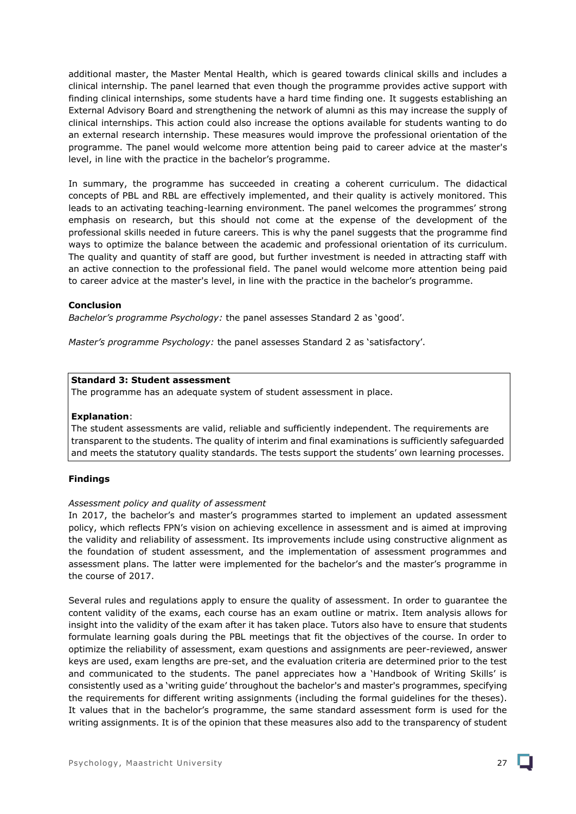additional master, the Master Mental Health, which is geared towards clinical skills and includes a clinical internship. The panel learned that even though the programme provides active support with finding clinical internships, some students have a hard time finding one. It suggests establishing an External Advisory Board and strengthening the network of alumni as this may increase the supply of clinical internships. This action could also increase the options available for students wanting to do an external research internship. These measures would improve the professional orientation of the programme. The panel would welcome more attention being paid to career advice at the master's level, in line with the practice in the bachelor's programme.

In summary, the programme has succeeded in creating a coherent curriculum. The didactical concepts of PBL and RBL are effectively implemented, and their quality is actively monitored. This leads to an activating teaching-learning environment. The panel welcomes the programmes' strong emphasis on research, but this should not come at the expense of the development of the professional skills needed in future careers. This is why the panel suggests that the programme find ways to optimize the balance between the academic and professional orientation of its curriculum. The quality and quantity of staff are good, but further investment is needed in attracting staff with an active connection to the professional field. The panel would welcome more attention being paid to career advice at the master's level, in line with the practice in the bachelor's programme.

#### **Conclusion**

*Bachelor's programme Psychology:* the panel assesses Standard 2 as 'good'.

*Master's programme Psychology:* the panel assesses Standard 2 as 'satisfactory'.

#### **Standard 3: Student assessment**

The programme has an adequate system of student assessment in place.

#### **Explanation**:

The student assessments are valid, reliable and sufficiently independent. The requirements are transparent to the students. The quality of interim and final examinations is sufficiently safeguarded and meets the statutory quality standards. The tests support the students' own learning processes.

#### **Findings**

#### *Assessment policy and quality of assessment*

In 2017, the bachelor's and master's programmes started to implement an updated assessment policy, which reflects FPN's vision on achieving excellence in assessment and is aimed at improving the validity and reliability of assessment. Its improvements include using constructive alignment as the foundation of student assessment, and the implementation of assessment programmes and assessment plans. The latter were implemented for the bachelor's and the master's programme in the course of 2017.

Several rules and regulations apply to ensure the quality of assessment. In order to guarantee the content validity of the exams, each course has an exam outline or matrix. Item analysis allows for insight into the validity of the exam after it has taken place. Tutors also have to ensure that students formulate learning goals during the PBL meetings that fit the objectives of the course. In order to optimize the reliability of assessment, exam questions and assignments are peer-reviewed, answer keys are used, exam lengths are pre-set, and the evaluation criteria are determined prior to the test and communicated to the students. The panel appreciates how a 'Handbook of Writing Skills' is consistently used as a 'writing guide' throughout the bachelor's and master's programmes, specifying the requirements for different writing assignments (including the formal guidelines for the theses). It values that in the bachelor's programme, the same standard assessment form is used for the writing assignments. It is of the opinion that these measures also add to the transparency of student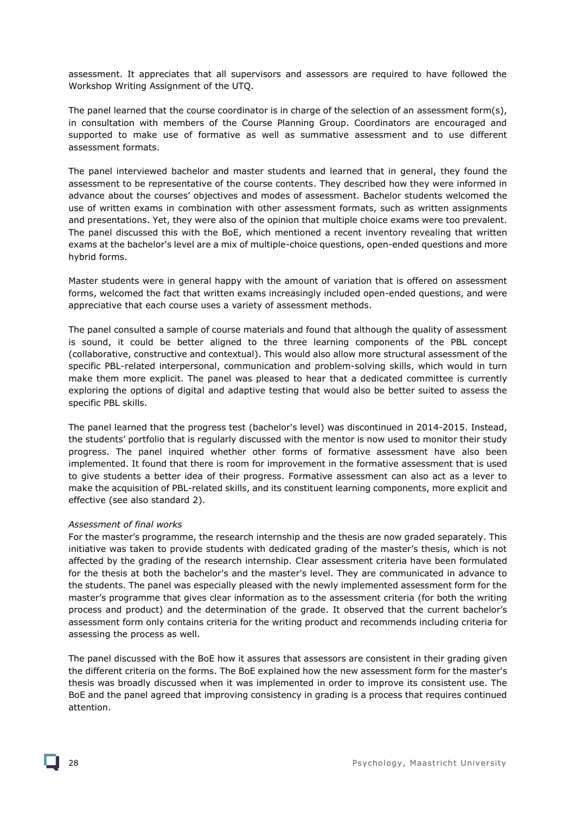assessment. It appreciates that all supervisors and assessors are required to have followed the Workshop Writing Assignment of the UTQ.

The panel learned that the course coordinator is in charge of the selection of an assessment form(s), in consultation with members of the Course Planning Group. Coordinators are encouraged and supported to make use of formative as well as summative assessment and to use different assessment formats.

The panel interviewed bachelor and master students and learned that in general, they found the assessment to be representative of the course contents. They described how they were informed in advance about the courses' objectives and modes of assessment. Bachelor students welcomed the use of written exams in combination with other assessment formats, such as written assignments and presentations. Yet, they were also of the opinion that multiple choice exams were too prevalent. The panel discussed this with the BoE, which mentioned a recent inventory revealing that written exams at the bachelor's level are a mix of multiple-choice questions, open-ended questions and more hybrid forms.

Master students were in general happy with the amount of variation that is offered on assessment forms, welcomed the fact that written exams increasingly included open-ended questions, and were appreciative that each course uses a variety of assessment methods.

The panel consulted a sample of course materials and found that although the quality of assessment is sound, it could be better aligned to the three learning components of the PBL concept (collaborative, constructive and contextual). This would also allow more structural assessment of the specific PBL-related interpersonal, communication and problem-solving skills, which would in turn make them more explicit. The panel was pleased to hear that a dedicated committee is currently exploring the options of digital and adaptive testing that would also be better suited to assess the specific PBL skills.

The panel learned that the progress test (bachelor's level) was discontinued in 2014-2015. Instead, the students' portfolio that is regularly discussed with the mentor is now used to monitor their study progress. The panel inquired whether other forms of formative assessment have also been implemented. It found that there is room for improvement in the formative assessment that is used to give students a better idea of their progress. Formative assessment can also act as a lever to make the acquisition of PBL-related skills, and its constituent learning components, more explicit and effective (see also standard 2).

#### *Assessment of final works*

For the master's programme, the research internship and the thesis are now graded separately. This initiative was taken to provide students with dedicated grading of the master's thesis, which is not affected by the grading of the research internship. Clear assessment criteria have been formulated for the thesis at both the bachelor's and the master's level. They are communicated in advance to the students. The panel was especially pleased with the newly implemented assessment form for the master's programme that gives clear information as to the assessment criteria (for both the writing process and product) and the determination of the grade. It observed that the current bachelor's assessment form only contains criteria for the writing product and recommends including criteria for assessing the process as well.

The panel discussed with the BoE how it assures that assessors are consistent in their grading given the different criteria on the forms. The BoE explained how the new assessment form for the master's thesis was broadly discussed when it was implemented in order to improve its consistent use. The BoE and the panel agreed that improving consistency in grading is a process that requires continued attention.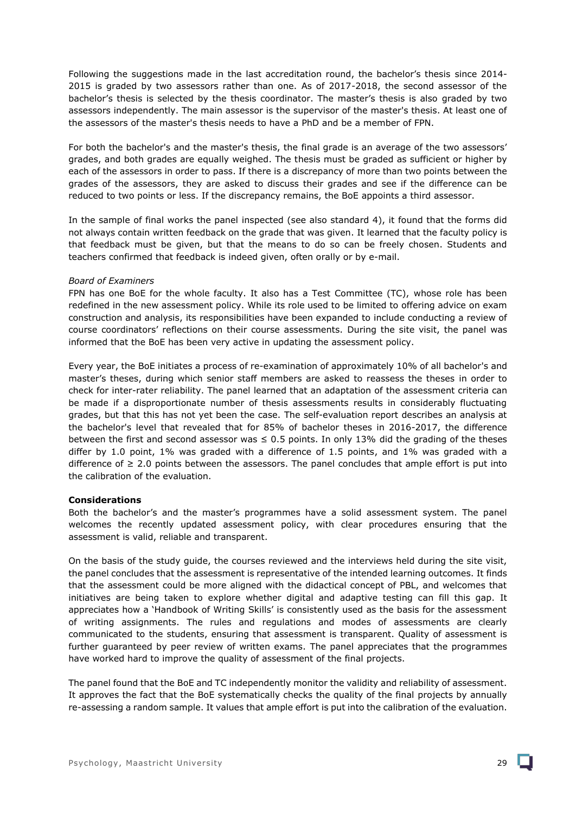Following the suggestions made in the last accreditation round, the bachelor's thesis since 2014- 2015 is graded by two assessors rather than one. As of 2017-2018, the second assessor of the bachelor's thesis is selected by the thesis coordinator. The master's thesis is also graded by two assessors independently. The main assessor is the supervisor of the master's thesis. At least one of the assessors of the master's thesis needs to have a PhD and be a member of FPN.

For both the bachelor's and the master's thesis, the final grade is an average of the two assessors' grades, and both grades are equally weighed. The thesis must be graded as sufficient or higher by each of the assessors in order to pass. If there is a discrepancy of more than two points between the grades of the assessors, they are asked to discuss their grades and see if the difference can be reduced to two points or less. If the discrepancy remains, the BoE appoints a third assessor.

In the sample of final works the panel inspected (see also standard 4), it found that the forms did not always contain written feedback on the grade that was given. It learned that the faculty policy is that feedback must be given, but that the means to do so can be freely chosen. Students and teachers confirmed that feedback is indeed given, often orally or by e-mail.

#### *Board of Examiners*

FPN has one BoE for the whole faculty. It also has a Test Committee (TC), whose role has been redefined in the new assessment policy. While its role used to be limited to offering advice on exam construction and analysis, its responsibilities have been expanded to include conducting a review of course coordinators' reflections on their course assessments. During the site visit, the panel was informed that the BoE has been very active in updating the assessment policy.

Every year, the BoE initiates a process of re-examination of approximately 10% of all bachelor's and master's theses, during which senior staff members are asked to reassess the theses in order to check for inter-rater reliability. The panel learned that an adaptation of the assessment criteria can be made if a disproportionate number of thesis assessments results in considerably fluctuating grades, but that this has not yet been the case. The self-evaluation report describes an analysis at the bachelor's level that revealed that for 85% of bachelor theses in 2016-2017, the difference between the first and second assessor was  $\leq 0.5$  points. In only 13% did the grading of the theses differ by 1.0 point, 1% was graded with a difference of 1.5 points, and 1% was graded with a difference of  $\geq 2.0$  points between the assessors. The panel concludes that ample effort is put into the calibration of the evaluation.

#### **Considerations**

Both the bachelor's and the master's programmes have a solid assessment system. The panel welcomes the recently updated assessment policy, with clear procedures ensuring that the assessment is valid, reliable and transparent.

On the basis of the study guide, the courses reviewed and the interviews held during the site visit, the panel concludes that the assessment is representative of the intended learning outcomes. It finds that the assessment could be more aligned with the didactical concept of PBL, and welcomes that initiatives are being taken to explore whether digital and adaptive testing can fill this gap. It appreciates how a 'Handbook of Writing Skills' is consistently used as the basis for the assessment of writing assignments. The rules and regulations and modes of assessments are clearly communicated to the students, ensuring that assessment is transparent. Quality of assessment is further guaranteed by peer review of written exams. The panel appreciates that the programmes have worked hard to improve the quality of assessment of the final projects.

The panel found that the BoE and TC independently monitor the validity and reliability of assessment. It approves the fact that the BoE systematically checks the quality of the final projects by annually re-assessing a random sample. It values that ample effort is put into the calibration of the evaluation.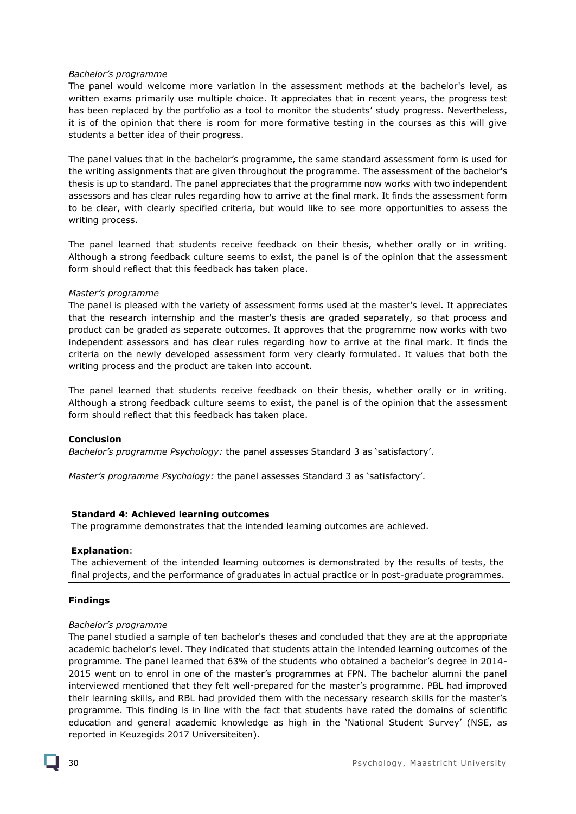#### *Bachelor's programme*

The panel would welcome more variation in the assessment methods at the bachelor's level, as written exams primarily use multiple choice. It appreciates that in recent years, the progress test has been replaced by the portfolio as a tool to monitor the students' study progress. Nevertheless, it is of the opinion that there is room for more formative testing in the courses as this will give students a better idea of their progress.

The panel values that in the bachelor's programme, the same standard assessment form is used for the writing assignments that are given throughout the programme. The assessment of the bachelor's thesis is up to standard. The panel appreciates that the programme now works with two independent assessors and has clear rules regarding how to arrive at the final mark. It finds the assessment form to be clear, with clearly specified criteria, but would like to see more opportunities to assess the writing process.

The panel learned that students receive feedback on their thesis, whether orally or in writing. Although a strong feedback culture seems to exist, the panel is of the opinion that the assessment form should reflect that this feedback has taken place.

#### *Master's programme*

The panel is pleased with the variety of assessment forms used at the master's level. It appreciates that the research internship and the master's thesis are graded separately, so that process and product can be graded as separate outcomes. It approves that the programme now works with two independent assessors and has clear rules regarding how to arrive at the final mark. It finds the criteria on the newly developed assessment form very clearly formulated. It values that both the writing process and the product are taken into account.

The panel learned that students receive feedback on their thesis, whether orally or in writing. Although a strong feedback culture seems to exist, the panel is of the opinion that the assessment form should reflect that this feedback has taken place.

#### **Conclusion**

*Bachelor's programme Psychology:* the panel assesses Standard 3 as 'satisfactory'.

*Master's programme Psychology:* the panel assesses Standard 3 as 'satisfactory'.

### **Standard 4: Achieved learning outcomes**

The programme demonstrates that the intended learning outcomes are achieved.

#### **Explanation**:

The achievement of the intended learning outcomes is demonstrated by the results of tests, the final projects, and the performance of graduates in actual practice or in post-graduate programmes.

### **Findings**

#### *Bachelor's programme*

The panel studied a sample of ten bachelor's theses and concluded that they are at the appropriate academic bachelor's level. They indicated that students attain the intended learning outcomes of the programme. The panel learned that 63% of the students who obtained a bachelor's degree in 2014- 2015 went on to enrol in one of the master's programmes at FPN. The bachelor alumni the panel interviewed mentioned that they felt well-prepared for the master's programme. PBL had improved their learning skills, and RBL had provided them with the necessary research skills for the master's programme. This finding is in line with the fact that students have rated the domains of scientific education and general academic knowledge as high in the 'National Student Survey' (NSE, as reported in Keuzegids 2017 Universiteiten).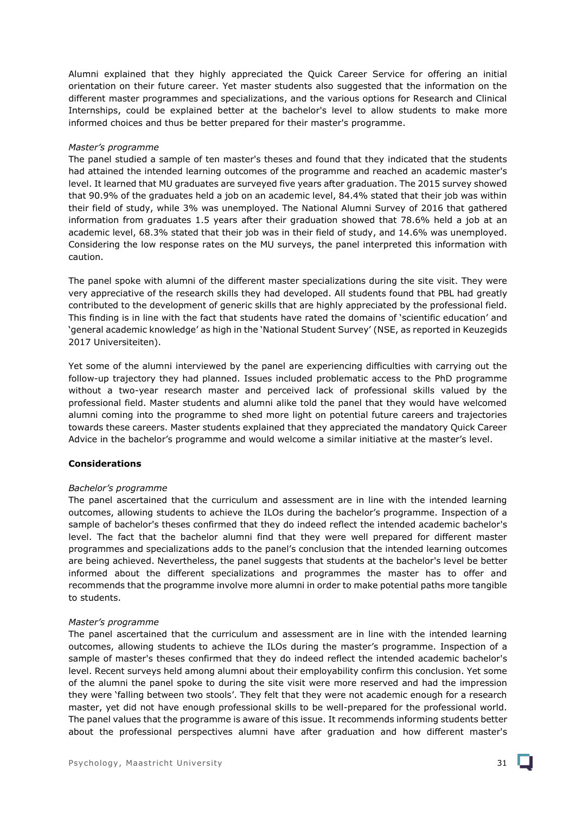Alumni explained that they highly appreciated the Quick Career Service for offering an initial orientation on their future career. Yet master students also suggested that the information on the different master programmes and specializations, and the various options for Research and Clinical Internships, could be explained better at the bachelor's level to allow students to make more informed choices and thus be better prepared for their master's programme.

#### *Master's programme*

The panel studied a sample of ten master's theses and found that they indicated that the students had attained the intended learning outcomes of the programme and reached an academic master's level. It learned that MU graduates are surveyed five years after graduation. The 2015 survey showed that 90.9% of the graduates held a job on an academic level, 84.4% stated that their job was within their field of study, while 3% was unemployed. The National Alumni Survey of 2016 that gathered information from graduates 1.5 years after their graduation showed that 78.6% held a job at an academic level, 68.3% stated that their job was in their field of study, and 14.6% was unemployed. Considering the low response rates on the MU surveys, the panel interpreted this information with caution.

The panel spoke with alumni of the different master specializations during the site visit. They were very appreciative of the research skills they had developed. All students found that PBL had greatly contributed to the development of generic skills that are highly appreciated by the professional field. This finding is in line with the fact that students have rated the domains of 'scientific education' and 'general academic knowledge' as high in the 'National Student Survey' (NSE, as reported in Keuzegids 2017 Universiteiten).

Yet some of the alumni interviewed by the panel are experiencing difficulties with carrying out the follow-up trajectory they had planned. Issues included problematic access to the PhD programme without a two-year research master and perceived lack of professional skills valued by the professional field. Master students and alumni alike told the panel that they would have welcomed alumni coming into the programme to shed more light on potential future careers and trajectories towards these careers. Master students explained that they appreciated the mandatory Quick Career Advice in the bachelor's programme and would welcome a similar initiative at the master's level.

### **Considerations**

#### *Bachelor's programme*

The panel ascertained that the curriculum and assessment are in line with the intended learning outcomes, allowing students to achieve the ILOs during the bachelor's programme. Inspection of a sample of bachelor's theses confirmed that they do indeed reflect the intended academic bachelor's level. The fact that the bachelor alumni find that they were well prepared for different master programmes and specializations adds to the panel's conclusion that the intended learning outcomes are being achieved. Nevertheless, the panel suggests that students at the bachelor's level be better informed about the different specializations and programmes the master has to offer and recommends that the programme involve more alumni in order to make potential paths more tangible to students.

#### *Master's programme*

The panel ascertained that the curriculum and assessment are in line with the intended learning outcomes, allowing students to achieve the ILOs during the master's programme. Inspection of a sample of master's theses confirmed that they do indeed reflect the intended academic bachelor's level. Recent surveys held among alumni about their employability confirm this conclusion. Yet some of the alumni the panel spoke to during the site visit were more reserved and had the impression they were 'falling between two stools'. They felt that they were not academic enough for a research master, yet did not have enough professional skills to be well-prepared for the professional world. The panel values that the programme is aware of this issue. It recommends informing students better about the professional perspectives alumni have after graduation and how different master's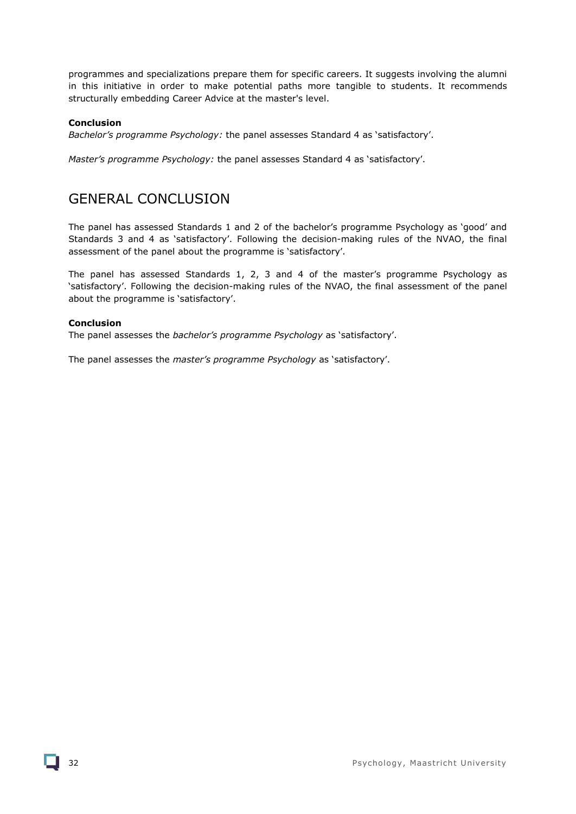programmes and specializations prepare them for specific careers. It suggests involving the alumni in this initiative in order to make potential paths more tangible to students. It recommends structurally embedding Career Advice at the master's level.

#### **Conclusion**

*Bachelor's programme Psychology:* the panel assesses Standard 4 as 'satisfactory'.

*Master's programme Psychology:* the panel assesses Standard 4 as 'satisfactory'.

# GENERAL CONCLUSION

The panel has assessed Standards 1 and 2 of the bachelor's programme Psychology as 'good' and Standards 3 and 4 as 'satisfactory'. Following the decision-making rules of the NVAO, the final assessment of the panel about the programme is 'satisfactory'.

The panel has assessed Standards 1, 2, 3 and 4 of the master's programme Psychology as 'satisfactory'. Following the decision-making rules of the NVAO, the final assessment of the panel about the programme is 'satisfactory'.

#### **Conclusion**

The panel assesses the *bachelor's programme Psychology* as 'satisfactory'.

The panel assesses the *master's programme Psychology* as 'satisfactory'.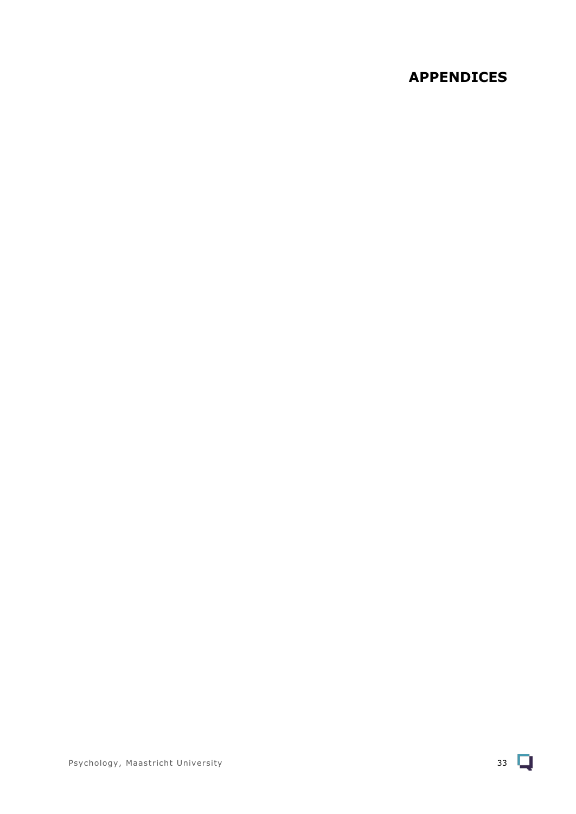# <span id="page-32-0"></span>**APPENDICES**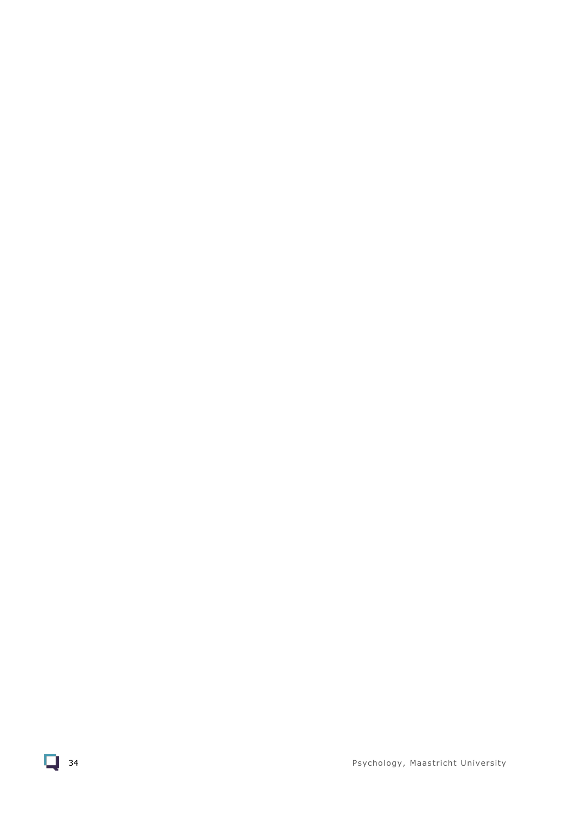34 Psychology, Maastricht University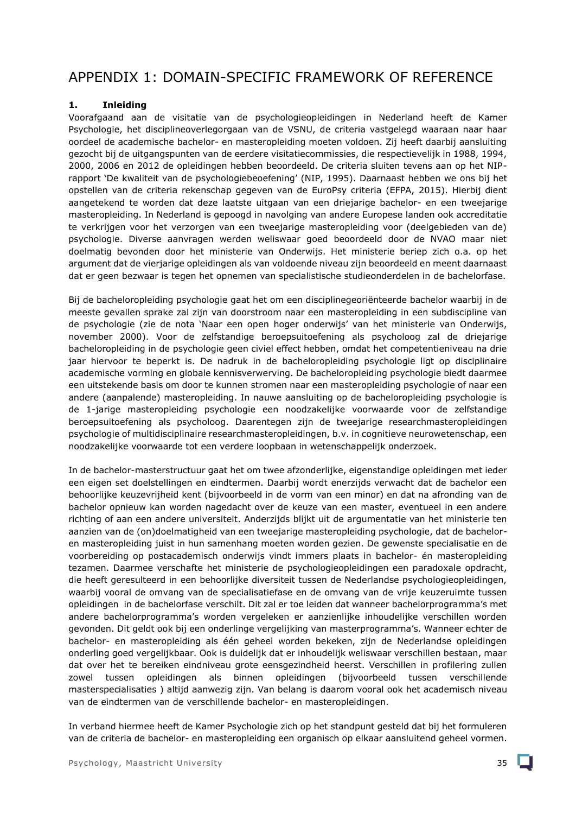# <span id="page-34-0"></span>APPENDIX 1: DOMAIN-SPECIFIC FRAMEWORK OF REFERENCE

### **1. Inleiding**

Voorafgaand aan de visitatie van de psychologieopleidingen in Nederland heeft de Kamer Psychologie, het disciplineoverlegorgaan van de VSNU, de criteria vastgelegd waaraan naar haar oordeel de academische bachelor- en masteropleiding moeten voldoen. Zij heeft daarbij aansluiting gezocht bij de uitgangspunten van de eerdere visitatiecommissies, die respectievelijk in 1988, 1994, 2000, 2006 en 2012 de opleidingen hebben beoordeeld. De criteria sluiten tevens aan op het NIPrapport 'De kwaliteit van de psychologiebeoefening' (NIP, 1995). Daarnaast hebben we ons bij het opstellen van de criteria rekenschap gegeven van de EuroPsy criteria (EFPA, 2015). Hierbij dient aangetekend te worden dat deze laatste uitgaan van een driejarige bachelor- en een tweejarige masteropleiding. In Nederland is gepoogd in navolging van andere Europese landen ook accreditatie te verkrijgen voor het verzorgen van een tweejarige masteropleiding voor (deelgebieden van de) psychologie. Diverse aanvragen werden weliswaar goed beoordeeld door de NVAO maar niet doelmatig bevonden door het ministerie van Onderwijs. Het ministerie beriep zich o.a. op het argument dat de vierjarige opleidingen als van voldoende niveau zijn beoordeeld en meent daarnaast dat er geen bezwaar is tegen het opnemen van specialistische studieonderdelen in de bachelorfase.

Bij de bacheloropleiding psychologie gaat het om een disciplinegeoriënteerde bachelor waarbij in de meeste gevallen sprake zal zijn van doorstroom naar een masteropleiding in een subdiscipline van de psychologie (zie de nota 'Naar een open hoger onderwijs' van het ministerie van Onderwijs, november 2000). Voor de zelfstandige beroepsuitoefening als psycholoog zal de driejarige bacheloropleiding in de psychologie geen civiel effect hebben, omdat het competentieniveau na drie jaar hiervoor te beperkt is. De nadruk in de bacheloropleiding psychologie ligt op disciplinaire academische vorming en globale kennisverwerving. De bacheloropleiding psychologie biedt daarmee een uitstekende basis om door te kunnen stromen naar een masteropleiding psychologie of naar een andere (aanpalende) masteropleiding. In nauwe aansluiting op de bacheloropleiding psychologie is de 1-jarige masteropleiding psychologie een noodzakelijke voorwaarde voor de zelfstandige beroepsuitoefening als psycholoog. Daarentegen zijn de tweejarige researchmasteropleidingen psychologie of multidisciplinaire researchmasteropleidingen, b.v. in cognitieve neurowetenschap, een noodzakelijke voorwaarde tot een verdere loopbaan in wetenschappelijk onderzoek.

In de bachelor-masterstructuur gaat het om twee afzonderlijke, eigenstandige opleidingen met ieder een eigen set doelstellingen en eindtermen. Daarbij wordt enerzijds verwacht dat de bachelor een behoorlijke keuzevrijheid kent (bijvoorbeeld in de vorm van een minor) en dat na afronding van de bachelor opnieuw kan worden nagedacht over de keuze van een master, eventueel in een andere richting of aan een andere universiteit. Anderzijds blijkt uit de argumentatie van het ministerie ten aanzien van de (on)doelmatigheid van een tweejarige masteropleiding psychologie, dat de bacheloren masteropleiding juist in hun samenhang moeten worden gezien. De gewenste specialisatie en de voorbereiding op postacademisch onderwijs vindt immers plaats in bachelor- én masteropleiding tezamen. Daarmee verschafte het ministerie de psychologieopleidingen een paradoxale opdracht, die heeft geresulteerd in een behoorlijke diversiteit tussen de Nederlandse psychologieopleidingen, waarbij vooral de omvang van de specialisatiefase en de omvang van de vrije keuzeruimte tussen opleidingen in de bachelorfase verschilt. Dit zal er toe leiden dat wanneer bachelorprogramma's met andere bachelorprogramma's worden vergeleken er aanzienlijke inhoudelijke verschillen worden gevonden. Dit geldt ook bij een onderlinge vergelijking van masterprogramma's. Wanneer echter de bachelor- en masteropleiding als één geheel worden bekeken, zijn de Nederlandse opleidingen onderling goed vergelijkbaar. Ook is duidelijk dat er inhoudelijk weliswaar verschillen bestaan, maar dat over het te bereiken eindniveau grote eensgezindheid heerst. Verschillen in profilering zullen zowel tussen opleidingen als binnen opleidingen (bijvoorbeeld tussen verschillende masterspecialisaties ) altijd aanwezig zijn. Van belang is daarom vooral ook het academisch niveau van de eindtermen van de verschillende bachelor- en masteropleidingen.

In verband hiermee heeft de Kamer Psychologie zich op het standpunt gesteld dat bij het formuleren van de criteria de bachelor- en masteropleiding een organisch op elkaar aansluitend geheel vormen.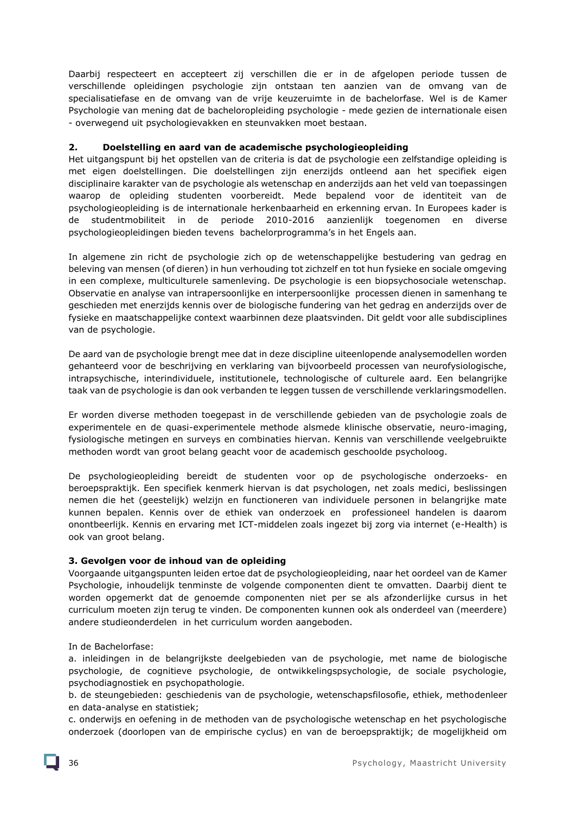Daarbij respecteert en accepteert zij verschillen die er in de afgelopen periode tussen de verschillende opleidingen psychologie zijn ontstaan ten aanzien van de omvang van de specialisatiefase en de omvang van de vrije keuzeruimte in de bachelorfase. Wel is de Kamer Psychologie van mening dat de bacheloropleiding psychologie - mede gezien de internationale eisen - overwegend uit psychologievakken en steunvakken moet bestaan.

### **2. Doelstelling en aard van de academische psychologieopleiding**

Het uitgangspunt bij het opstellen van de criteria is dat de psychologie een zelfstandige opleiding is met eigen doelstellingen. Die doelstellingen zijn enerzijds ontleend aan het specifiek eigen disciplinaire karakter van de psychologie als wetenschap en anderzijds aan het veld van toepassingen waarop de opleiding studenten voorbereidt. Mede bepalend voor de identiteit van de psychologieopleiding is de internationale herkenbaarheid en erkenning ervan. In Europees kader is de studentmobiliteit in de periode 2010-2016 aanzienlijk toegenomen en diverse psychologieopleidingen bieden tevens bachelorprogramma's in het Engels aan.

In algemene zin richt de psychologie zich op de wetenschappelijke bestudering van gedrag en beleving van mensen (of dieren) in hun verhouding tot zichzelf en tot hun fysieke en sociale omgeving in een complexe, multiculturele samenleving. De psychologie is een biopsychosociale wetenschap. Observatie en analyse van intrapersoonlijke en interpersoonlijke processen dienen in samenhang te geschieden met enerzijds kennis over de biologische fundering van het gedrag en anderzijds over de fysieke en maatschappelijke context waarbinnen deze plaatsvinden. Dit geldt voor alle subdisciplines van de psychologie.

De aard van de psychologie brengt mee dat in deze discipline uiteenlopende analysemodellen worden gehanteerd voor de beschrijving en verklaring van bijvoorbeeld processen van neurofysiologische, intrapsychische, interindividuele, institutionele, technologische of culturele aard. Een belangrijke taak van de psychologie is dan ook verbanden te leggen tussen de verschillende verklaringsmodellen.

Er worden diverse methoden toegepast in de verschillende gebieden van de psychologie zoals de experimentele en de quasi-experimentele methode alsmede klinische observatie, neuro-imaging, fysiologische metingen en surveys en combinaties hiervan. Kennis van verschillende veelgebruikte methoden wordt van groot belang geacht voor de academisch geschoolde psycholoog.

De psychologieopleiding bereidt de studenten voor op de psychologische onderzoeks- en beroepspraktijk. Een specifiek kenmerk hiervan is dat psychologen, net zoals medici, beslissingen nemen die het (geestelijk) welzijn en functioneren van individuele personen in belangrijke mate kunnen bepalen. Kennis over de ethiek van onderzoek en professioneel handelen is daarom onontbeerlijk. Kennis en ervaring met ICT-middelen zoals ingezet bij zorg via internet (e-Health) is ook van groot belang.

### **3. Gevolgen voor de inhoud van de opleiding**

Voorgaande uitgangspunten leiden ertoe dat de psychologieopleiding, naar het oordeel van de Kamer Psychologie, inhoudelijk tenminste de volgende componenten dient te omvatten. Daarbij dient te worden opgemerkt dat de genoemde componenten niet per se als afzonderlijke cursus in het curriculum moeten zijn terug te vinden. De componenten kunnen ook als onderdeel van (meerdere) andere studieonderdelen in het curriculum worden aangeboden.

### In de Bachelorfase:

a. inleidingen in de belangrijkste deelgebieden van de psychologie, met name de biologische psychologie, de cognitieve psychologie, de ontwikkelingspsychologie, de sociale psychologie, psychodiagnostiek en psychopathologie.

b. de steungebieden: geschiedenis van de psychologie, wetenschapsfilosofie, ethiek, methodenleer en data-analyse en statistiek;

c. onderwijs en oefening in de methoden van de psychologische wetenschap en het psychologische onderzoek (doorlopen van de empirische cyclus) en van de beroepspraktijk; de mogelijkheid om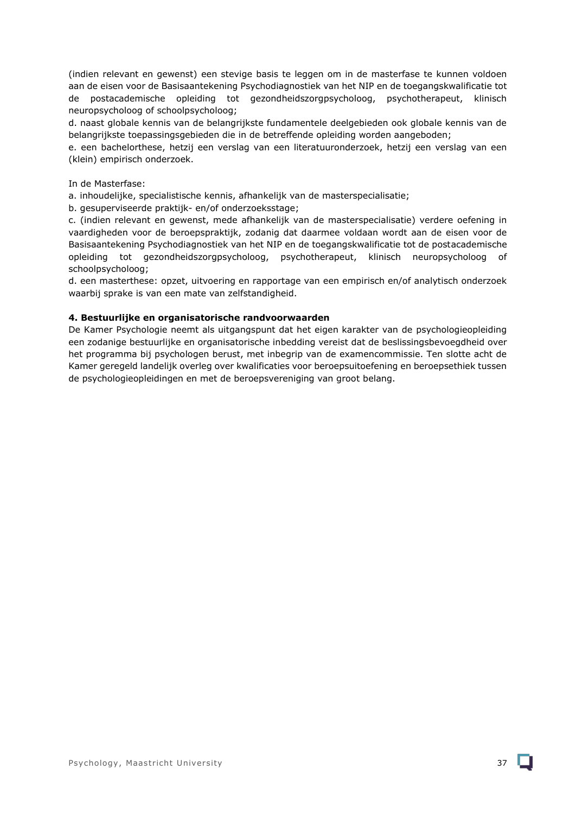(indien relevant en gewenst) een stevige basis te leggen om in de masterfase te kunnen voldoen aan de eisen voor de Basisaantekening Psychodiagnostiek van het NIP en de toegangskwalificatie tot de postacademische opleiding tot gezondheidszorgpsycholoog, psychotherapeut, klinisch neuropsycholoog of schoolpsycholoog;

d. naast globale kennis van de belangrijkste fundamentele deelgebieden ook globale kennis van de belangrijkste toepassingsgebieden die in de betreffende opleiding worden aangeboden;

e. een bachelorthese, hetzij een verslag van een literatuuronderzoek, hetzij een verslag van een (klein) empirisch onderzoek.

In de Masterfase:

a. inhoudelijke, specialistische kennis, afhankelijk van de masterspecialisatie;

b. gesuperviseerde praktijk- en/of onderzoeksstage;

c. (indien relevant en gewenst, mede afhankelijk van de masterspecialisatie) verdere oefening in vaardigheden voor de beroepspraktijk, zodanig dat daarmee voldaan wordt aan de eisen voor de Basisaantekening Psychodiagnostiek van het NIP en de toegangskwalificatie tot de postacademische opleiding tot gezondheidszorgpsycholoog, psychotherapeut, klinisch neuropsycholoog of schoolpsycholoog;

d. een masterthese: opzet, uitvoering en rapportage van een empirisch en/of analytisch onderzoek waarbij sprake is van een mate van zelfstandigheid.

#### **4. Bestuurlijke en organisatorische randvoorwaarden**

De Kamer Psychologie neemt als uitgangspunt dat het eigen karakter van de psychologieopleiding een zodanige bestuurlijke en organisatorische inbedding vereist dat de beslissingsbevoegdheid over het programma bij psychologen berust, met inbegrip van de examencommissie. Ten slotte acht de Kamer geregeld landelijk overleg over kwalificaties voor beroepsuitoefening en beroepsethiek tussen de psychologieopleidingen en met de beroepsvereniging van groot belang.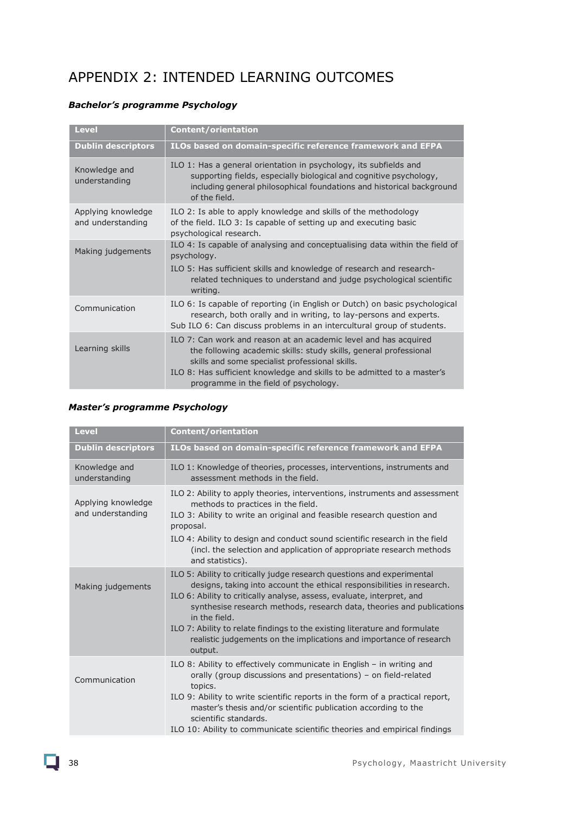# <span id="page-37-0"></span>APPENDIX 2: INTENDED LEARNING OUTCOMES

| <b>Level</b>                            | <b>Content/orientation</b>                                                                                                                                                                                                                                                                                   |
|-----------------------------------------|--------------------------------------------------------------------------------------------------------------------------------------------------------------------------------------------------------------------------------------------------------------------------------------------------------------|
| <b>Dublin descriptors</b>               | ILOs based on domain-specific reference framework and EFPA                                                                                                                                                                                                                                                   |
| Knowledge and<br>understanding          | ILO 1: Has a general orientation in psychology, its subfields and<br>supporting fields, especially biological and cognitive psychology,<br>including general philosophical foundations and historical background<br>of the field.                                                                            |
| Applying knowledge<br>and understanding | ILO 2: Is able to apply knowledge and skills of the methodology<br>of the field. ILO 3: Is capable of setting up and executing basic<br>psychological research.                                                                                                                                              |
| Making judgements                       | ILO 4: Is capable of analysing and conceptualising data within the field of<br>psychology.<br>ILO 5: Has sufficient skills and knowledge of research and research-<br>related techniques to understand and judge psychological scientific<br>writing.                                                        |
| Communication                           | ILO 6: Is capable of reporting (in English or Dutch) on basic psychological<br>research, both orally and in writing, to lay-persons and experts.<br>Sub ILO 6: Can discuss problems in an intercultural group of students.                                                                                   |
| Learning skills                         | ILO 7: Can work and reason at an academic level and has acquired<br>the following academic skills: study skills, general professional<br>skills and some specialist professional skills.<br>ILO 8: Has sufficient knowledge and skills to be admitted to a master's<br>programme in the field of psychology. |

## *Bachelor's programme Psychology*

### *Master's programme Psychology*

| <b>Level</b>                            | <b>Content/orientation</b>                                                                                                                                                                                                                                                                                                                                                                                                                                                           |
|-----------------------------------------|--------------------------------------------------------------------------------------------------------------------------------------------------------------------------------------------------------------------------------------------------------------------------------------------------------------------------------------------------------------------------------------------------------------------------------------------------------------------------------------|
| <b>Dublin descriptors</b>               | ILOs based on domain-specific reference framework and EFPA                                                                                                                                                                                                                                                                                                                                                                                                                           |
| Knowledge and<br>understanding          | ILO 1: Knowledge of theories, processes, interventions, instruments and<br>assessment methods in the field.                                                                                                                                                                                                                                                                                                                                                                          |
| Applying knowledge<br>and understanding | ILO 2: Ability to apply theories, interventions, instruments and assessment<br>methods to practices in the field.<br>ILO 3: Ability to write an original and feasible research question and<br>proposal.                                                                                                                                                                                                                                                                             |
|                                         | ILO 4: Ability to design and conduct sound scientific research in the field<br>(incl. the selection and application of appropriate research methods<br>and statistics).                                                                                                                                                                                                                                                                                                              |
| Making judgements                       | ILO 5: Ability to critically judge research questions and experimental<br>designs, taking into account the ethical responsibilities in research.<br>ILO 6: Ability to critically analyse, assess, evaluate, interpret, and<br>synthesise research methods, research data, theories and publications<br>in the field.<br>ILO 7: Ability to relate findings to the existing literature and formulate<br>realistic judgements on the implications and importance of research<br>output. |
| Communication                           | ILO 8: Ability to effectively communicate in English - in writing and<br>orally (group discussions and presentations) - on field-related<br>topics.<br>ILO 9: Ability to write scientific reports in the form of a practical report,<br>master's thesis and/or scientific publication according to the<br>scientific standards.<br>ILO 10: Ability to communicate scientific theories and empirical findings                                                                         |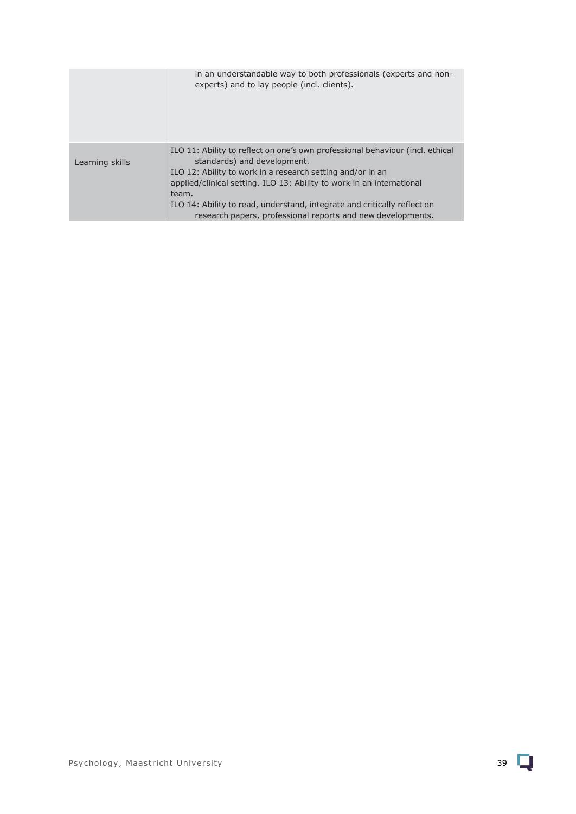|                 | in an understandable way to both professionals (experts and non-<br>experts) and to lay people (incl. clients).                                                                                                                                                                                                                                                                                         |
|-----------------|---------------------------------------------------------------------------------------------------------------------------------------------------------------------------------------------------------------------------------------------------------------------------------------------------------------------------------------------------------------------------------------------------------|
| Learning skills | ILO 11: Ability to reflect on one's own professional behaviour (incl. ethical<br>standards) and development.<br>ILO 12: Ability to work in a research setting and/or in an<br>applied/clinical setting. ILO 13: Ability to work in an international<br>team.<br>ILO 14: Ability to read, understand, integrate and critically reflect on<br>research papers, professional reports and new developments. |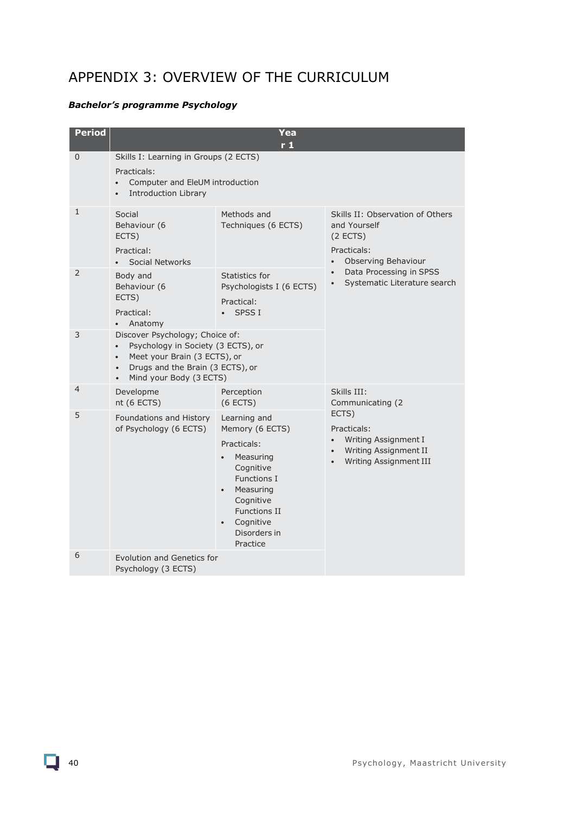# <span id="page-39-0"></span>APPENDIX 3: OVERVIEW OF THE CURRICULUM

## *Bachelor's programme Psychology*

| <b>Period</b>  |                                                                                                                                                                                                                          | Yea<br>r <sub>1</sub>                                                                                                                                                                                       |                                                                                                                           |
|----------------|--------------------------------------------------------------------------------------------------------------------------------------------------------------------------------------------------------------------------|-------------------------------------------------------------------------------------------------------------------------------------------------------------------------------------------------------------|---------------------------------------------------------------------------------------------------------------------------|
| 0              | Skills I: Learning in Groups (2 ECTS)<br>Practicals:<br>Computer and EleUM introduction<br><b>Introduction Library</b>                                                                                                   |                                                                                                                                                                                                             |                                                                                                                           |
| $\mathbf{1}$   | Social<br>Behaviour (6<br>ECTS)<br>Practical:<br>Social Networks                                                                                                                                                         | Methods and<br>Techniques (6 ECTS)                                                                                                                                                                          | Skills II: Observation of Others<br>and Yourself<br>$(2$ ECTS)<br>Practicals:<br>Observing Behaviour<br>$\bullet$         |
| 2              | Body and<br>Behaviour (6<br>ECTS)<br>Practical:<br>Anatomy<br>$\bullet$                                                                                                                                                  | Statistics for<br>Psychologists I (6 ECTS)<br>Practical:<br>SPSS I                                                                                                                                          | Data Processing in SPSS<br>$\bullet$<br>Systematic Literature search                                                      |
| 3              | Discover Psychology; Choice of:<br>Psychology in Society (3 ECTS), or<br>$\bullet$<br>Meet your Brain (3 ECTS), or<br>$\bullet$<br>Drugs and the Brain (3 ECTS), or<br>$\bullet$<br>Mind your Body (3 ECTS)<br>$\bullet$ |                                                                                                                                                                                                             |                                                                                                                           |
| $\overline{4}$ | Developme<br>nt (6 ECTS)                                                                                                                                                                                                 | Perception<br>$(6$ ECTS)                                                                                                                                                                                    | Skills III:<br>Communicating (2                                                                                           |
| 5              | Foundations and History<br>of Psychology (6 ECTS)                                                                                                                                                                        | Learning and<br>Memory (6 ECTS)<br>Practicals:<br>Measuring<br>Cognitive<br>Functions I<br>Measuring<br>$\bullet$<br>Cognitive<br><b>Functions II</b><br>Cognitive<br>$\bullet$<br>Disorders in<br>Practice | ECTS)<br>Practicals:<br>Writing Assignment I<br>Writing Assignment II<br>$\bullet$<br>Writing Assignment III<br>$\bullet$ |
| 6              | <b>Evolution and Genetics for</b><br>Psychology (3 ECTS)                                                                                                                                                                 |                                                                                                                                                                                                             |                                                                                                                           |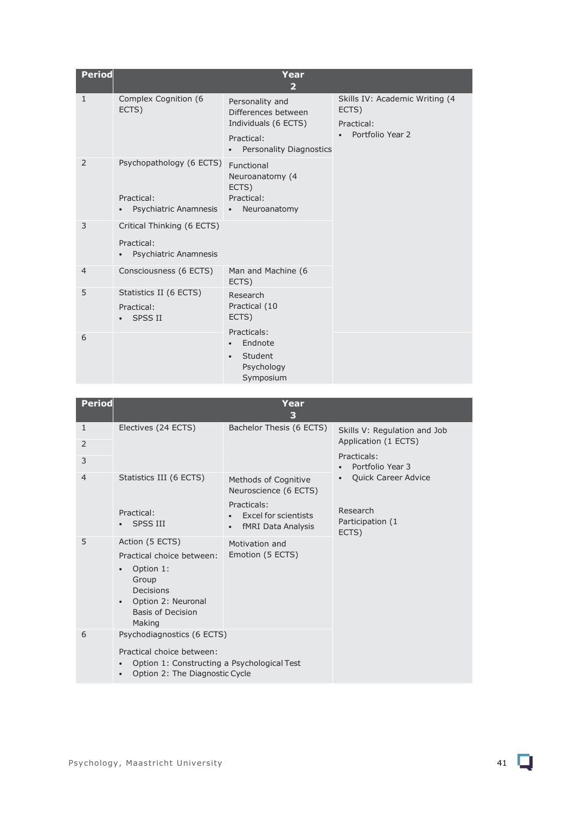| <b>Period</b>  |                                                                                | Year<br>$\overline{\mathbf{2}}$                                                                                |                                                                            |
|----------------|--------------------------------------------------------------------------------|----------------------------------------------------------------------------------------------------------------|----------------------------------------------------------------------------|
| $\mathbf{1}$   | Complex Cognition (6<br>ECTS)                                                  | Personality and<br>Differences between<br>Individuals (6 ECTS)<br>Practical:<br><b>Personality Diagnostics</b> | Skills IV: Academic Writing (4)<br>ECTS)<br>Practical:<br>Portfolio Year 2 |
| 2              | Psychopathology (6 ECTS)<br>Practical:<br>Psychiatric Anamnesis<br>$\bullet$   | Functional<br>Neuroanatomy (4<br>ECTS)<br>Practical:<br>Neuroanatomy<br>$\bullet$                              |                                                                            |
| 3              | Critical Thinking (6 ECTS)<br>Practical:<br>Psychiatric Anamnesis<br>$\bullet$ |                                                                                                                |                                                                            |
| $\overline{4}$ | Consciousness (6 ECTS)                                                         | Man and Machine (6<br>ECTS)                                                                                    |                                                                            |
| 5              | Statistics II (6 ECTS)<br>Practical:<br><b>SPSS II</b>                         | Research<br>Practical (10<br>ECTS)                                                                             |                                                                            |
| 6              |                                                                                | Practicals:<br>Endnote<br>Student<br>$\bullet$<br>Psychology<br>Symposium                                      |                                                                            |

| <b>Period</b>  |                                                                                                                       | Year                                                                          |                                        |
|----------------|-----------------------------------------------------------------------------------------------------------------------|-------------------------------------------------------------------------------|----------------------------------------|
|                |                                                                                                                       | 3                                                                             |                                        |
| $\mathbf{1}$   | Electives (24 ECTS)                                                                                                   | Bachelor Thesis (6 ECTS)                                                      | Skills V: Regulation and Job           |
| 2              |                                                                                                                       |                                                                               | Application (1 ECTS)                   |
| 3              |                                                                                                                       |                                                                               | Practicals:<br>Portfolio Year 3        |
| $\overline{4}$ | Statistics III (6 ECTS)                                                                                               | Methods of Cognitive<br>Neuroscience (6 ECTS)                                 | <b>Quick Career Advice</b>             |
|                | Practical:<br><b>SPSS III</b>                                                                                         | Practicals:<br><b>Excel for scientists</b><br>fMRI Data Analysis<br>$\bullet$ | Research<br>Participation (1)<br>ECTS) |
| 5              | Action (5 ECTS)                                                                                                       | Motivation and                                                                |                                        |
|                | Practical choice between:                                                                                             | Emotion (5 ECTS)                                                              |                                        |
|                | Option 1:<br>$\bullet$<br>Group<br>Decisions<br>Option 2: Neuronal<br>$\bullet$<br><b>Basis of Decision</b><br>Making |                                                                               |                                        |
| 6              | Psychodiagnostics (6 ECTS)                                                                                            |                                                                               |                                        |
|                | Practical choice between:                                                                                             |                                                                               |                                        |
|                | Option 1: Constructing a Psychological Test<br>$\bullet$<br>Option 2: The Diagnostic Cycle<br>$\bullet$               |                                                                               |                                        |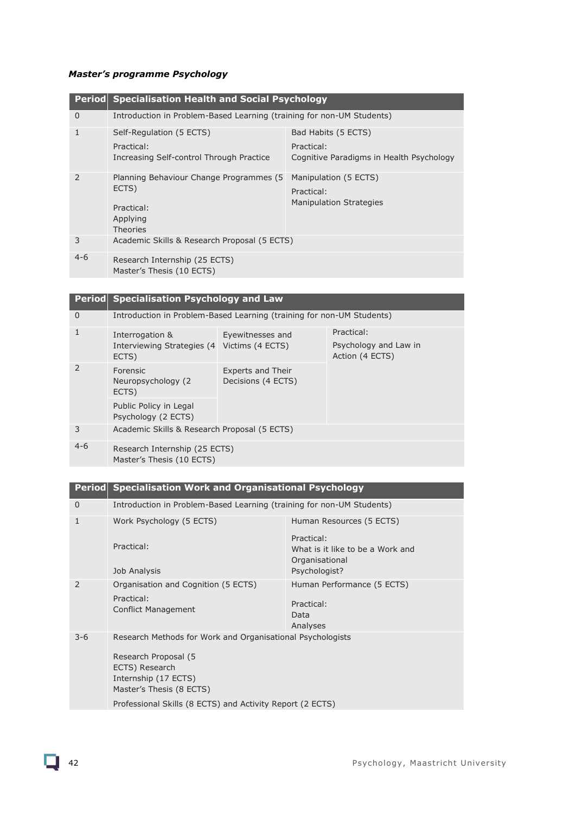### *Master's programme Psychology*

| <b>Period</b> | <b>Specialisation Health and Social Psychology</b>                                             |                                                                               |  |
|---------------|------------------------------------------------------------------------------------------------|-------------------------------------------------------------------------------|--|
| $\mathbf 0$   | Introduction in Problem-Based Learning (training for non-UM Students)                          |                                                                               |  |
| 1             | Self-Regulation (5 ECTS)<br>Practical:<br>Increasing Self-control Through Practice             | Bad Habits (5 ECTS)<br>Practical:<br>Cognitive Paradigms in Health Psychology |  |
| $\mathcal{L}$ | Planning Behaviour Change Programmes (5)<br>ECTS)<br>Practical:<br>Applying<br><b>Theories</b> | Manipulation (5 ECTS)<br>Practical:<br><b>Manipulation Strategies</b>         |  |
| 3             | Academic Skills & Research Proposal (5 ECTS)                                                   |                                                                               |  |
| $4 - 6$       | Research Internship (25 ECTS)<br>Master's Thesis (10 ECTS)                                     |                                                                               |  |

# **Period Specialisation Psychology and Law**

| $\Omega$ | Introduction in Problem-Based Learning (training for non-UM Students)               |                  |                                                        |
|----------|-------------------------------------------------------------------------------------|------------------|--------------------------------------------------------|
|          | Interrogation &<br>Interviewing Strategies (4 Victims (4 ECTS)<br>ECTS)             | Eyewitnesses and | Practical:<br>Psychology and Law in<br>Action (4 ECTS) |
|          | Forensic<br>Experts and Their<br>Decisions (4 ECTS)<br>Neuropsychology (2)<br>ECTS) |                  |                                                        |
|          | Public Policy in Legal<br>Psychology (2 ECTS)                                       |                  |                                                        |
| 3        | Academic Skills & Research Proposal (5 ECTS)                                        |                  |                                                        |
| $4 - 6$  | Research Internship (25 ECTS)<br>Master's Thesis (10 ECTS)                          |                  |                                                        |

| <b>Period</b> | <b>Specialisation Work and Organisational Psychology</b>                                   |                                                                                   |  |
|---------------|--------------------------------------------------------------------------------------------|-----------------------------------------------------------------------------------|--|
| 0             | Introduction in Problem-Based Learning (training for non-UM Students)                      |                                                                                   |  |
| $\mathbf{1}$  | Work Psychology (5 ECTS)                                                                   | Human Resources (5 ECTS)                                                          |  |
|               | Practical:<br>Job Analysis                                                                 | Practical:<br>What is it like to be a Work and<br>Organisational<br>Psychologist? |  |
| $\mathcal{L}$ | Organisation and Cognition (5 ECTS)                                                        | Human Performance (5 ECTS)                                                        |  |
|               | Practical:<br><b>Conflict Management</b>                                                   | Practical:<br>Data<br>Analyses                                                    |  |
| $3 - 6$       | Research Methods for Work and Organisational Psychologists                                 |                                                                                   |  |
|               | Research Proposal (5<br>ECTS) Research<br>Internship (17 ECTS)<br>Master's Thesis (8 ECTS) |                                                                                   |  |
|               | Professional Skills (8 ECTS) and Activity Report (2 ECTS)                                  |                                                                                   |  |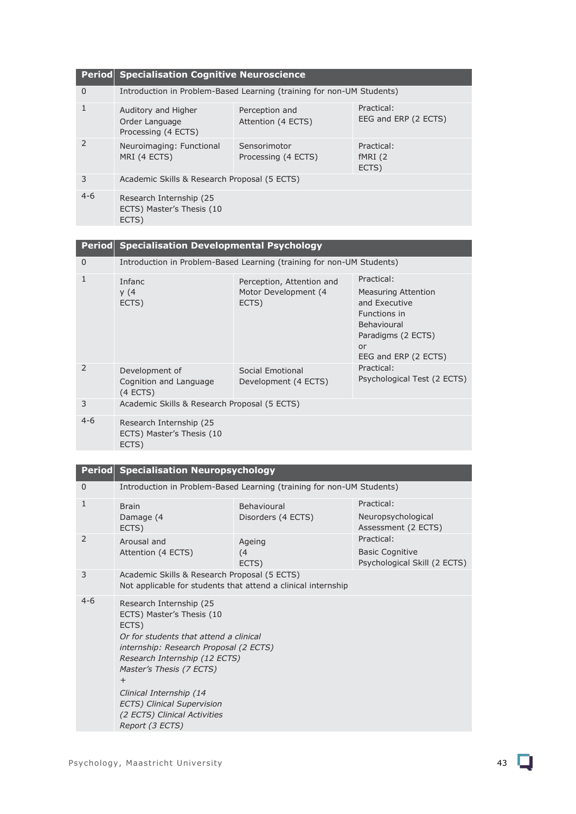|               | Period Specialisation Cognitive Neuroscience                          |                                      |                                    |
|---------------|-----------------------------------------------------------------------|--------------------------------------|------------------------------------|
| $\Omega$      | Introduction in Problem-Based Learning (training for non-UM Students) |                                      |                                    |
| 1             | Auditory and Higher<br>Order Language<br>Processing (4 ECTS)          | Perception and<br>Attention (4 ECTS) | Practical:<br>EEG and ERP (2 ECTS) |
| $\mathcal{L}$ | Neuroimaging: Functional<br>MRI (4 ECTS)                              | Sensorimotor<br>Processing (4 ECTS)  | Practical:<br>fMRI (2<br>ECTS)     |
| 3             | Academic Skills & Research Proposal (5 ECTS)                          |                                      |                                    |
| $4 - 6$       | Research Internship (25)<br>ECTS) Master's Thesis (10<br>ECTS)        |                                      |                                    |

|                          | Period Specialisation Developmental Psychology                        |                                                            |                                                                                                                                       |  |
|--------------------------|-----------------------------------------------------------------------|------------------------------------------------------------|---------------------------------------------------------------------------------------------------------------------------------------|--|
| 0                        | Introduction in Problem-Based Learning (training for non-UM Students) |                                                            |                                                                                                                                       |  |
|                          | Infanc<br>y $(4)$<br>ECTS)                                            | Perception, Attention and<br>Motor Development (4<br>ECTS) | Practical:<br>Measuring Attention<br>and Executive<br>Functions in<br>Behavioural<br>Paradigms (2 ECTS)<br>or<br>EEG and ERP (2 ECTS) |  |
| $\overline{\phantom{0}}$ | Development of<br>Cognition and Language<br>(4 ECTS)                  | Social Emotional<br>Development (4 ECTS)                   | Practical:<br>Psychological Test (2 ECTS)                                                                                             |  |
| 3                        | Academic Skills & Research Proposal (5 ECTS)                          |                                                            |                                                                                                                                       |  |
| $4 - 6$                  | Research Internship (25)<br>ECTS) Master's Thesis (10<br>ECTS)        |                                                            |                                                                                                                                       |  |

| <b>Period</b> | <b>Specialisation Neuropsychology</b>                                                                                                                                                                                                                                                                                             |                                   |                                                                      |  |
|---------------|-----------------------------------------------------------------------------------------------------------------------------------------------------------------------------------------------------------------------------------------------------------------------------------------------------------------------------------|-----------------------------------|----------------------------------------------------------------------|--|
| $\Omega$      | Introduction in Problem-Based Learning (training for non-UM Students)                                                                                                                                                                                                                                                             |                                   |                                                                      |  |
| $\mathbf{1}$  | <b>Brain</b><br>Damage (4<br>ECTS)                                                                                                                                                                                                                                                                                                | Behavioural<br>Disorders (4 ECTS) | Practical:<br>Neuropsychological<br>Assessment (2 ECTS)              |  |
| 2             | Arousal and<br>Attention (4 ECTS)                                                                                                                                                                                                                                                                                                 | Ageing<br>(4)<br>ECTS)            | Practical:<br><b>Basic Cognitive</b><br>Psychological Skill (2 ECTS) |  |
| 3             | Academic Skills & Research Proposal (5 ECTS)<br>Not applicable for students that attend a clinical internship                                                                                                                                                                                                                     |                                   |                                                                      |  |
| $4 - 6$       | Research Internship (25<br>ECTS) Master's Thesis (10<br>ECTS)<br>Or for students that attend a clinical<br>internship: Research Proposal (2 ECTS)<br>Research Internship (12 ECTS)<br>Master's Thesis (7 ECTS)<br>$+$<br>Clinical Internship (14<br>ECTS) Clinical Supervision<br>(2 ECTS) Clinical Activities<br>Report (3 ECTS) |                                   |                                                                      |  |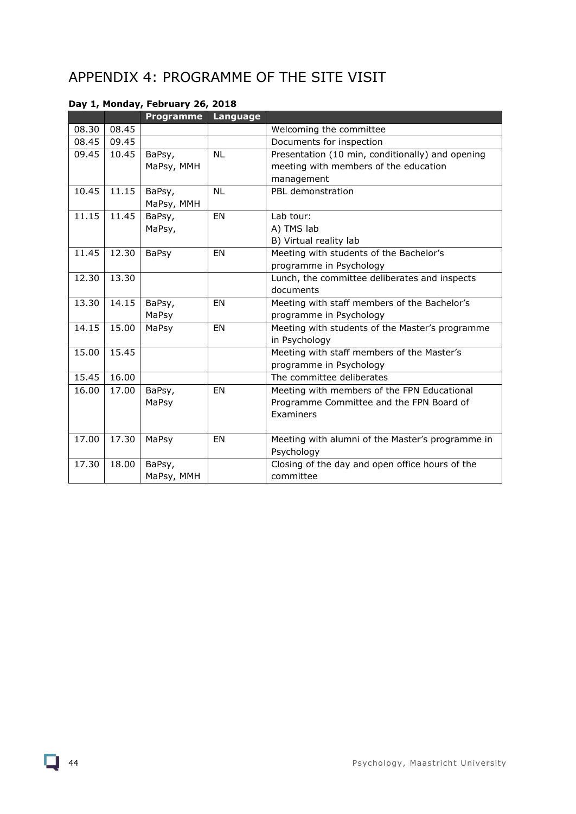# <span id="page-43-0"></span>APPENDIX 4: PROGRAMME OF THE SITE VISIT

|       |       | <b>Programme</b> | Language  |                                                  |
|-------|-------|------------------|-----------|--------------------------------------------------|
| 08.30 | 08.45 |                  |           | Welcoming the committee                          |
| 08.45 | 09.45 |                  |           | Documents for inspection                         |
| 09.45 | 10.45 | BaPsy,           | <b>NL</b> | Presentation (10 min, conditionally) and opening |
|       |       | MaPsy, MMH       |           | meeting with members of the education            |
|       |       |                  |           | management                                       |
| 10.45 | 11.15 | BaPsy,           | <b>NL</b> | PBL demonstration                                |
|       |       | MaPsy, MMH       |           |                                                  |
| 11.15 | 11.45 | BaPsy,           | EN        | Lab tour:                                        |
|       |       | MaPsy,           |           | A) TMS lab                                       |
|       |       |                  |           | B) Virtual reality lab                           |
| 11.45 | 12.30 | <b>BaPsy</b>     | EN        | Meeting with students of the Bachelor's          |
|       |       |                  |           | programme in Psychology                          |
| 12.30 | 13.30 |                  |           | Lunch, the committee deliberates and inspects    |
|       |       |                  |           | documents                                        |
| 13.30 | 14.15 | BaPsy,           | EN        | Meeting with staff members of the Bachelor's     |
|       |       | MaPsy            |           | programme in Psychology                          |
| 14.15 | 15.00 | MaPsy            | EN        | Meeting with students of the Master's programme  |
|       |       |                  |           | in Psychology                                    |
| 15.00 | 15.45 |                  |           | Meeting with staff members of the Master's       |
|       |       |                  |           | programme in Psychology                          |
| 15.45 | 16.00 |                  |           | The committee deliberates                        |
| 16.00 | 17.00 | BaPsy,           | EN        | Meeting with members of the FPN Educational      |
|       |       | MaPsy            |           | Programme Committee and the FPN Board of         |
|       |       |                  |           | Examiners                                        |
|       |       |                  |           |                                                  |
| 17.00 | 17.30 | MaPsy            | EN        | Meeting with alumni of the Master's programme in |
|       |       |                  |           | Psychology                                       |
| 17.30 | 18.00 | BaPsy,           |           | Closing of the day and open office hours of the  |
|       |       | MaPsy, MMH       |           | committee                                        |

# **Day 1, Monday, February 26, 2018**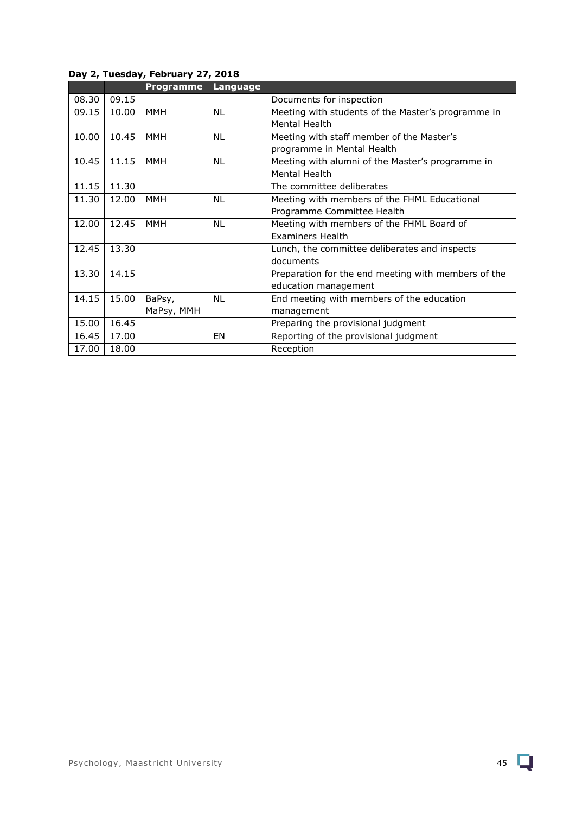|       |       | <b>Programme</b> | Language  |                                                     |
|-------|-------|------------------|-----------|-----------------------------------------------------|
| 08.30 | 09.15 |                  |           | Documents for inspection                            |
| 09.15 | 10.00 | MMH              | <b>NL</b> | Meeting with students of the Master's programme in  |
|       |       |                  |           | Mental Health                                       |
| 10.00 | 10.45 | <b>MMH</b>       | <b>NL</b> | Meeting with staff member of the Master's           |
|       |       |                  |           | programme in Mental Health                          |
| 10.45 | 11.15 | <b>MMH</b>       | <b>NL</b> | Meeting with alumni of the Master's programme in    |
|       |       |                  |           | Mental Health                                       |
| 11.15 | 11.30 |                  |           | The committee deliberates                           |
| 11.30 | 12.00 | <b>MMH</b>       | <b>NL</b> | Meeting with members of the FHML Educational        |
|       |       |                  |           | Programme Committee Health                          |
| 12.00 | 12.45 | <b>MMH</b>       | <b>NL</b> | Meeting with members of the FHML Board of           |
|       |       |                  |           | <b>Examiners Health</b>                             |
| 12.45 | 13.30 |                  |           | Lunch, the committee deliberates and inspects       |
|       |       |                  |           | documents                                           |
| 13.30 | 14.15 |                  |           | Preparation for the end meeting with members of the |
|       |       |                  |           | education management                                |
| 14.15 | 15.00 | BaPsy,           | <b>NL</b> | End meeting with members of the education           |
|       |       | MaPsy, MMH       |           | management                                          |
| 15.00 | 16.45 |                  |           | Preparing the provisional judgment                  |
| 16.45 | 17.00 |                  | EN        | Reporting of the provisional judgment               |
| 17.00 | 18.00 |                  |           | Reception                                           |

## **Day 2, Tuesday, February 27, 2018**